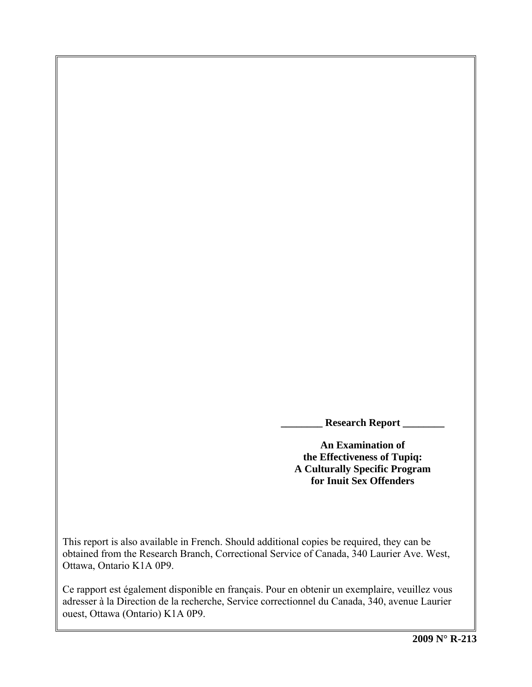**\_\_\_\_\_\_\_\_ Research Report \_\_\_\_\_\_\_\_** 

**An Examination of the Effectiveness of Tupiq: A Culturally Specific Program for Inuit Sex Offenders** 

This report is also available in French. Should additional copies be required, they can be obtained from the Research Branch, Correctional Service of Canada, 340 Laurier Ave. West, Ottawa, Ontario K1A 0P9.

Ce rapport est également disponible en français. Pour en obtenir un exemplaire, veuillez vous adresser à la Direction de la recherche, Service correctionnel du Canada, 340, avenue Laurier ouest, Ottawa (Ontario) K1A 0P9.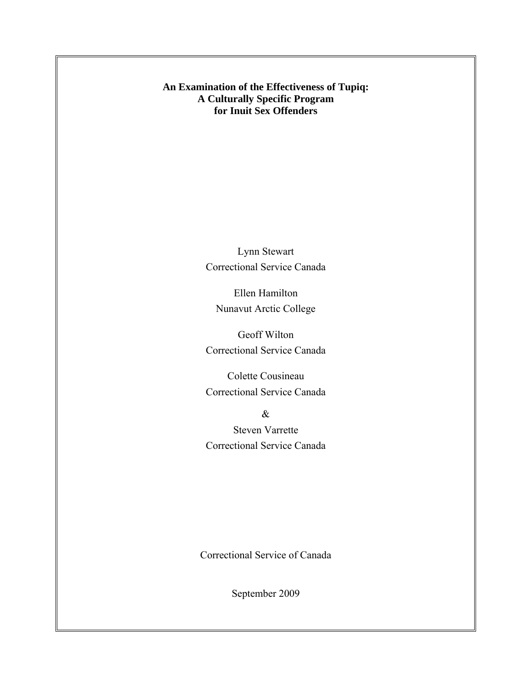**An Examination of the Effectiveness of Tupiq: A Culturally Specific Program for Inuit Sex Offenders** 

> Lynn Stewart Correctional Service Canada

Ellen Hamilton Nunavut Arctic College

Geoff Wilton Correctional Service Canada

Colette Cousineau Correctional Service Canada

& Steven Varrette Correctional Service Canada

Correctional Service of Canada

September 2009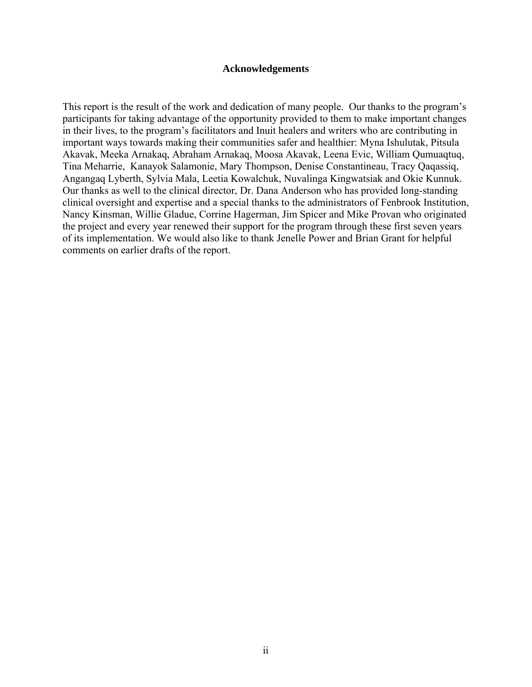#### **Acknowledgements**

<span id="page-4-0"></span>This report is the result of the work and dedication of many people. Our thanks to the program's participants for taking advantage of the opportunity provided to them to make important changes in their lives, to the program's facilitators and Inuit healers and writers who are contributing in important ways towards making their communities safer and healthier: Myna Ishulutak, Pitsula Akavak, Meeka Arnakaq, Abraham Arnakaq, Moosa Akavak, Leena Evic, William Qumuaqtuq, Tina Meharrie, Kanayok Salamonie, Mary Thompson, Denise Constantineau, Tracy Qaqassiq, Angangaq Lyberth, Sylvia Mala, Leetia Kowalchuk, Nuvalinga Kingwatsiak and Okie Kunnuk. Our thanks as well to the clinical director, Dr. Dana Anderson who has provided long-standing clinical oversight and expertise and a special thanks to the administrators of Fenbrook Institution, Nancy Kinsman, Willie Gladue, Corrine Hagerman, Jim Spicer and Mike Provan who originated the project and every year renewed their support for the program through these first seven years of its implementation. We would also like to thank Jenelle Power and Brian Grant for helpful comments on earlier drafts of the report.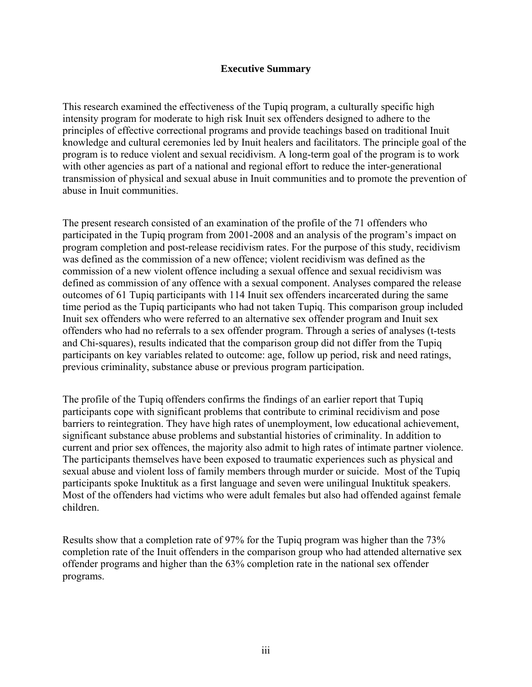## **Executive Summary**

<span id="page-6-0"></span>This research examined the effectiveness of the Tupiq program, a culturally specific high intensity program for moderate to high risk Inuit sex offenders designed to adhere to the principles of effective correctional programs and provide teachings based on traditional Inuit knowledge and cultural ceremonies led by Inuit healers and facilitators. The principle goal of the program is to reduce violent and sexual recidivism. A long-term goal of the program is to work with other agencies as part of a national and regional effort to reduce the inter-generational transmission of physical and sexual abuse in Inuit communities and to promote the prevention of abuse in Inuit communities.

The present research consisted of an examination of the profile of the 71 offenders who participated in the Tupiq program from 2001-2008 and an analysis of the program's impact on program completion and post-release recidivism rates. For the purpose of this study, recidivism was defined as the commission of a new offence; violent recidivism was defined as the commission of a new violent offence including a sexual offence and sexual recidivism was defined as commission of any offence with a sexual component. Analyses compared the release outcomes of 61 Tupiq participants with 114 Inuit sex offenders incarcerated during the same time period as the Tupiq participants who had not taken Tupiq. This comparison group included Inuit sex offenders who were referred to an alternative sex offender program and Inuit sex offenders who had no referrals to a sex offender program. Through a series of analyses (t-tests and Chi-squares), results indicated that the comparison group did not differ from the Tupiq participants on key variables related to outcome: age, follow up period, risk and need ratings, previous criminality, substance abuse or previous program participation.

The profile of the Tupiq offenders confirms the findings of an earlier report that Tupiq participants cope with significant problems that contribute to criminal recidivism and pose barriers to reintegration. They have high rates of unemployment, low educational achievement, significant substance abuse problems and substantial histories of criminality. In addition to current and prior sex offences, the majority also admit to high rates of intimate partner violence. The participants themselves have been exposed to traumatic experiences such as physical and sexual abuse and violent loss of family members through murder or suicide. Most of the Tupiq participants spoke Inuktituk as a first language and seven were unilingual Inuktituk speakers. Most of the offenders had victims who were adult females but also had offended against female children.

Results show that a completion rate of 97% for the Tupiq program was higher than the 73% completion rate of the Inuit offenders in the comparison group who had attended alternative sex offender programs and higher than the 63% completion rate in the national sex offender programs.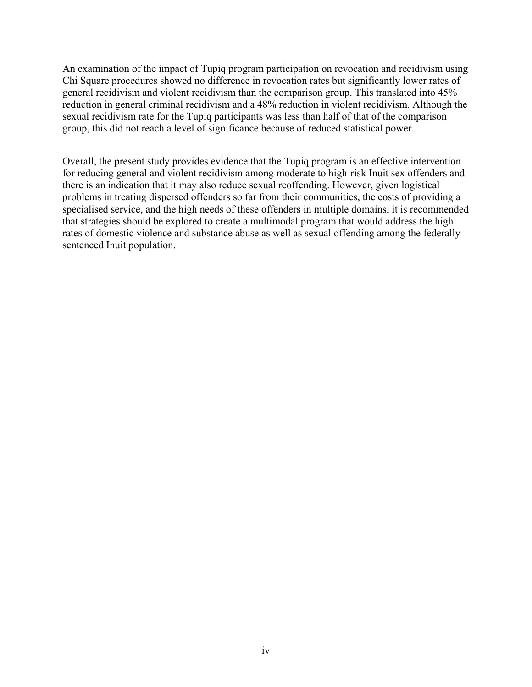An examination of the impact of Tupiq program participation on revocation and recidivism using Chi Square procedures showed no difference in revocation rates but significantly lower rates of general recidivism and violent recidivism than the comparison group. This translated into 45% reduction in general criminal recidivism and a 48% reduction in violent recidivism. Although the sexual recidivism rate for the Tupiq participants was less than half of that of the comparison group, this did not reach a level of significance because of reduced statistical power.

Overall, the present study provides evidence that the Tupiq program is an effective intervention for reducing general and violent recidivism among moderate to high-risk Inuit sex offenders and there is an indication that it may also reduce sexual reoffending. However, given logistical problems in treating dispersed offenders so far from their communities, the costs of providing a specialised service, and the high needs of these offenders in multiple domains, it is recommended that strategies should be explored to create a multimodal program that would address the high rates of domestic violence and substance abuse as well as sexual offending among the federally sentenced Inuit population.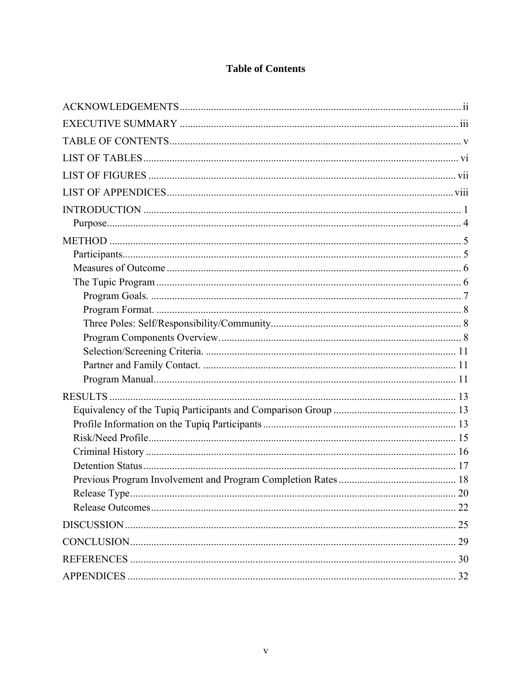# **Table of Contents**

<span id="page-8-0"></span>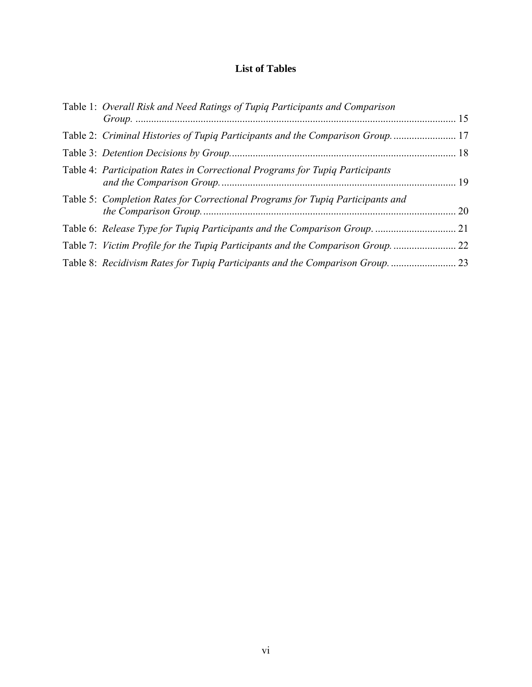# **List of Tables**

<span id="page-10-0"></span>

| Table 1: Overall Risk and Need Ratings of Tupiq Participants and Comparison    |    |
|--------------------------------------------------------------------------------|----|
| Table 2: Criminal Histories of Tupiq Participants and the Comparison Group 17  |    |
|                                                                                |    |
| Table 4: Participation Rates in Correctional Programs for Tupiq Participants   |    |
| Table 5: Completion Rates for Correctional Programs for Tupiq Participants and | 20 |
| Table 6: Release Type for Tupiq Participants and the Comparison Group          | 21 |
| Table 7: Victim Profile for the Tupiq Participants and the Comparison Group    | 22 |
| Table 8: Recidivism Rates for Tupiq Participants and the Comparison Group      | 23 |
|                                                                                |    |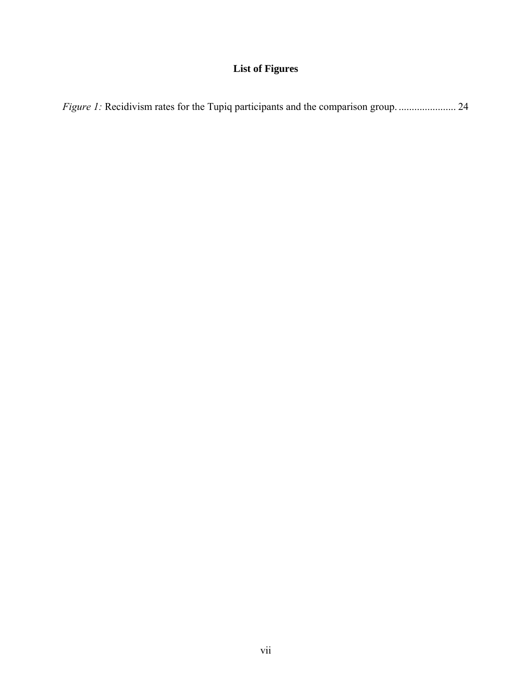# **List of Figures**

<span id="page-12-0"></span>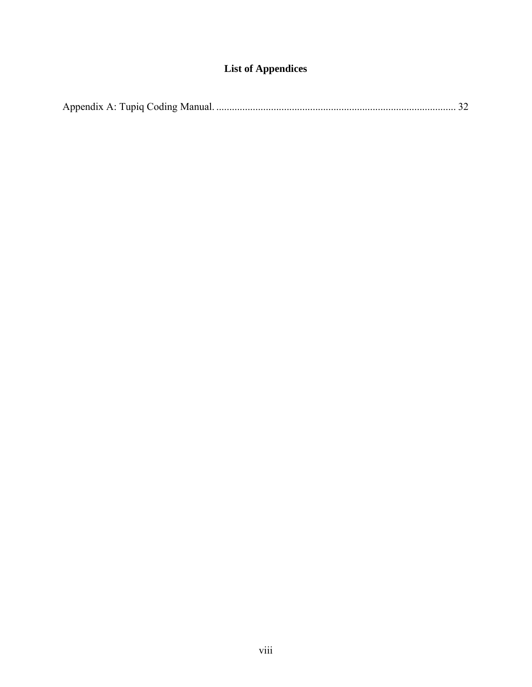# **List of Appendices**

<span id="page-14-0"></span>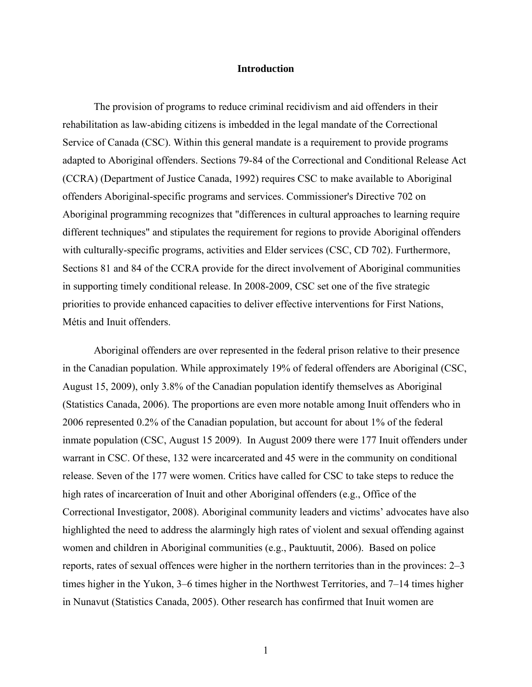#### **Introduction**

<span id="page-16-0"></span>The provision of programs to reduce criminal recidivism and aid offenders in their rehabilitation as law-abiding citizens is imbedded in the legal mandate of the Correctional Service of Canada (CSC). Within this general mandate is a requirement to provide programs adapted to Aboriginal offenders. Sections 79-84 of the Correctional and Conditional Release Act (CCRA) (Department of Justice Canada, 1992) requires CSC to make available to Aboriginal offenders Aboriginal-specific programs and services. Commissioner's Directive 702 on Aboriginal programming recognizes that "differences in cultural approaches to learning require different techniques" and stipulates the requirement for regions to provide Aboriginal offenders with culturally-specific programs, activities and Elder services (CSC, CD 702). Furthermore, Sections 81 and 84 of the CCRA provide for the direct involvement of Aboriginal communities in supporting timely conditional release. In 2008-2009, CSC set one of the five strategic priorities to provide enhanced capacities to deliver effective interventions for First Nations, Métis and Inuit offenders.

Aboriginal offenders are over represented in the federal prison relative to their presence in the Canadian population. While approximately 19% of federal offenders are Aboriginal (CSC, August 15, 2009), only 3.8% of the Canadian population identify themselves as Aboriginal (Statistics Canada, 2006). The proportions are even more notable among Inuit offenders who in 2006 represented 0.2% of the Canadian population, but account for about 1% of the federal inmate population (CSC, August 15 2009). In August 2009 there were 177 Inuit offenders under warrant in CSC. Of these, 132 were incarcerated and 45 were in the community on conditional release. Seven of the 177 were women. Critics have called for CSC to take steps to reduce the high rates of incarceration of Inuit and other Aboriginal offenders (e.g., Office of the Correctional Investigator, 2008). Aboriginal community leaders and victims' advocates have also highlighted the need to address the alarmingly high rates of violent and sexual offending against women and children in Aboriginal communities (e.g., Pauktuutit, 2006). Based on police reports, rates of sexual offences were higher in the northern territories than in the provinces: 2–3 times higher in the Yukon, 3–6 times higher in the Northwest Territories, and 7–14 times higher in Nunavut (Statistics Canada, 2005). Other research has confirmed that Inuit women are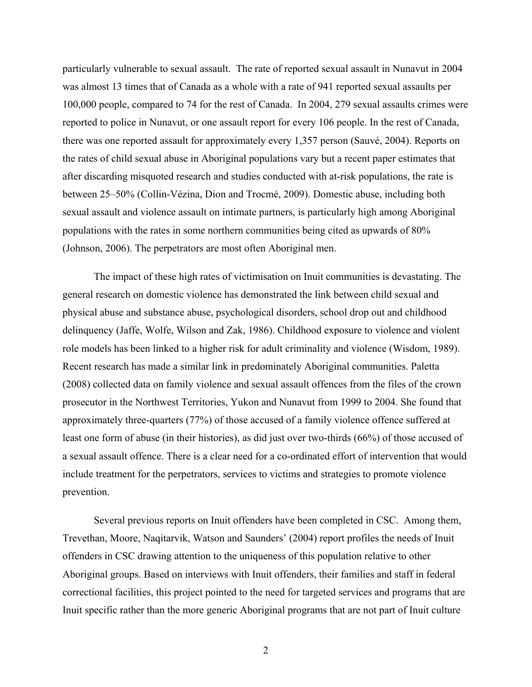particularly vulnerable to sexual assault. The rate of reported sexual assault in Nunavut in 2004 was almost 13 times that of Canada as a whole with a rate of 941 reported sexual assaults per 100,000 people, compared to 74 for the rest of Canada. In 2004, 279 sexual assaults crimes were reported to police in Nunavut, or one assault report for every 106 people. In the rest of Canada, there was one reported assault for approximately every 1,357 person (Sauvé, 2004). Reports on the rates of child sexual abuse in Aboriginal populations vary but a recent paper estimates that after discarding misquoted research and studies conducted with at-risk populations, the rate is between 25–50% (Collin-Vézina, Dion and Trocmé, 2009). Domestic abuse, including both sexual assault and violence assault on intimate partners, is particularly high among Aboriginal populations with the rates in some northern communities being cited as upwards of 80% (Johnson, 2006). The perpetrators are most often Aboriginal men.

The impact of these high rates of victimisation on Inuit communities is devastating. The general research on domestic violence has demonstrated the link between child sexual and physical abuse and substance abuse, psychological disorders, school drop out and childhood delinquency (Jaffe, Wolfe, Wilson and Zak, 1986). Childhood exposure to violence and violent role models has been linked to a higher risk for adult criminality and violence (Wisdom, 1989). Recent research has made a similar link in predominately Aboriginal communities. Paletta (2008) collected data on family violence and sexual assault offences from the files of the crown prosecutor in the Northwest Territories, Yukon and Nunavut from 1999 to 2004. She found that approximately three-quarters (77%) of those accused of a family violence offence suffered at least one form of abuse (in their histories), as did just over two-thirds (66%) of those accused of a sexual assault offence. There is a clear need for a co-ordinated effort of intervention that would include treatment for the perpetrators, services to victims and strategies to promote violence prevention.

Several previous reports on Inuit offenders have been completed in CSC. Among them, Trevethan, Moore, Naqitarvik, Watson and Saunders' (2004) report profiles the needs of Inuit offenders in CSC drawing attention to the uniqueness of this population relative to other Aboriginal groups. Based on interviews with Inuit offenders, their families and staff in federal correctional facilities, this project pointed to the need for targeted services and programs that are Inuit specific rather than the more generic Aboriginal programs that are not part of Inuit culture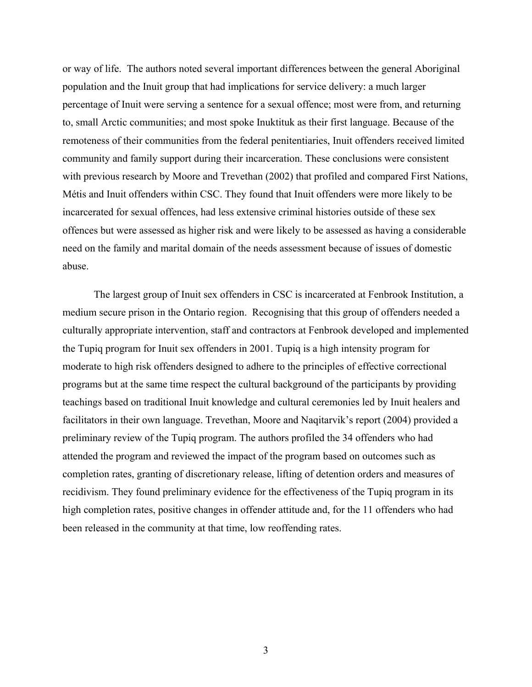or way of life. The authors noted several important differences between the general Aboriginal population and the Inuit group that had implications for service delivery: a much larger percentage of Inuit were serving a sentence for a sexual offence; most were from, and returning to, small Arctic communities; and most spoke Inuktituk as their first language. Because of the remoteness of their communities from the federal penitentiaries, Inuit offenders received limited community and family support during their incarceration. These conclusions were consistent with previous research by Moore and Trevethan (2002) that profiled and compared First Nations, Métis and Inuit offenders within CSC. They found that Inuit offenders were more likely to be incarcerated for sexual offences, had less extensive criminal histories outside of these sex offences but were assessed as higher risk and were likely to be assessed as having a considerable need on the family and marital domain of the needs assessment because of issues of domestic abuse.

The largest group of Inuit sex offenders in CSC is incarcerated at Fenbrook Institution, a medium secure prison in the Ontario region. Recognising that this group of offenders needed a culturally appropriate intervention, staff and contractors at Fenbrook developed and implemented the Tupiq program for Inuit sex offenders in 2001. Tupiq is a high intensity program for moderate to high risk offenders designed to adhere to the principles of effective correctional programs but at the same time respect the cultural background of the participants by providing teachings based on traditional Inuit knowledge and cultural ceremonies led by Inuit healers and facilitators in their own language. Trevethan, Moore and Naqitarvik's report (2004) provided a preliminary review of the Tupiq program. The authors profiled the 34 offenders who had attended the program and reviewed the impact of the program based on outcomes such as completion rates, granting of discretionary release, lifting of detention orders and measures of recidivism. They found preliminary evidence for the effectiveness of the Tupiq program in its high completion rates, positive changes in offender attitude and, for the 11 offenders who had been released in the community at that time, low reoffending rates.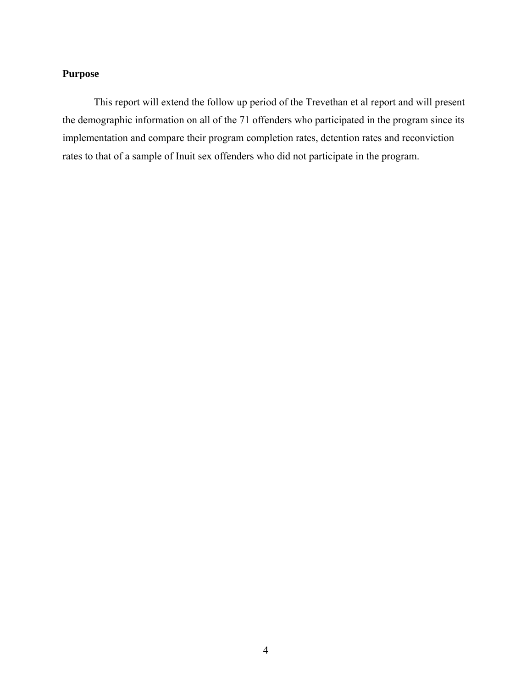# <span id="page-19-0"></span>**Purpose**

This report will extend the follow up period of the Trevethan et al report and will present the demographic information on all of the 71 offenders who participated in the program since its implementation and compare their program completion rates, detention rates and reconviction rates to that of a sample of Inuit sex offenders who did not participate in the program.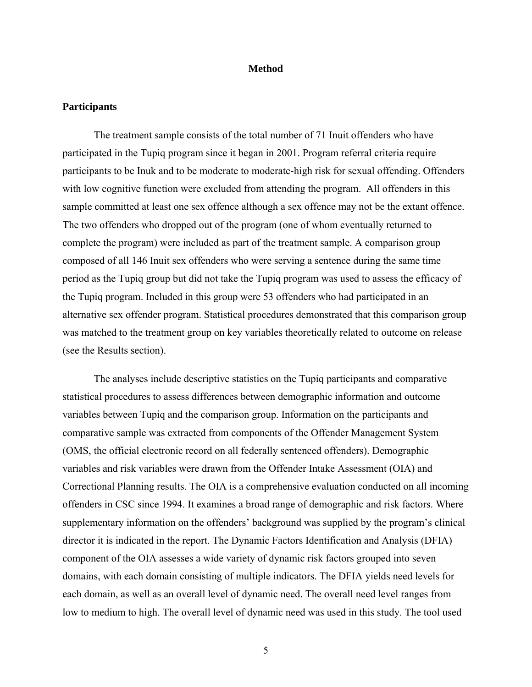#### **Method**

#### <span id="page-20-0"></span>**Participants**

The treatment sample consists of the total number of 71 Inuit offenders who have participated in the Tupiq program since it began in 2001. Program referral criteria require participants to be Inuk and to be moderate to moderate-high risk for sexual offending. Offenders with low cognitive function were excluded from attending the program. All offenders in this sample committed at least one sex offence although a sex offence may not be the extant offence. The two offenders who dropped out of the program (one of whom eventually returned to complete the program) were included as part of the treatment sample. A comparison group composed of all 146 Inuit sex offenders who were serving a sentence during the same time period as the Tupiq group but did not take the Tupiq program was used to assess the efficacy of the Tupiq program. Included in this group were 53 offenders who had participated in an alternative sex offender program. Statistical procedures demonstrated that this comparison group was matched to the treatment group on key variables theoretically related to outcome on release (see the [Results](#page-28-1) section).

The analyses include descriptive statistics on the Tupiq participants and comparative statistical procedures to assess differences between demographic information and outcome variables between Tupiq and the comparison group. Information on the participants and comparative sample was extracted from components of the Offender Management System (OMS, the official electronic record on all federally sentenced offenders). Demographic variables and risk variables were drawn from the Offender Intake Assessment (OIA) and Correctional Planning results. The OIA is a comprehensive evaluation conducted on all incoming offenders in CSC since 1994. It examines a broad range of demographic and risk factors. Where supplementary information on the offenders' background was supplied by the program's clinical director it is indicated in the report. The Dynamic Factors Identification and Analysis (DFIA) component of the OIA assesses a wide variety of dynamic risk factors grouped into seven domains, with each domain consisting of multiple indicators. The DFIA yields need levels for each domain, as well as an overall level of dynamic need. The overall need level ranges from low to medium to high. The overall level of dynamic need was used in this study. The tool used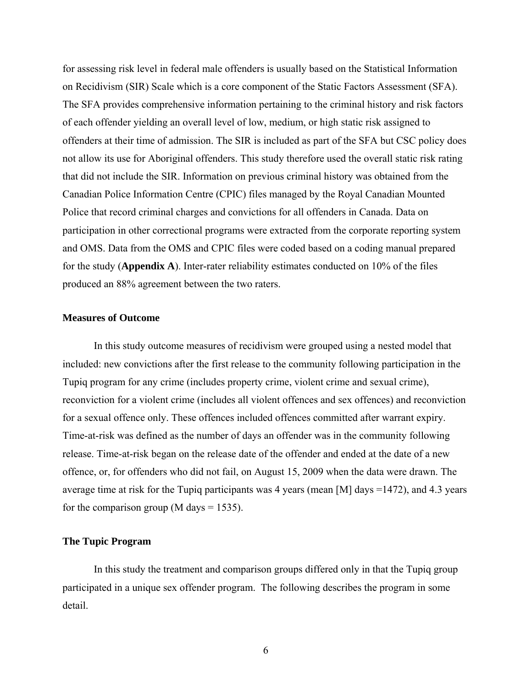<span id="page-21-0"></span>for assessing risk level in federal male offenders is usually based on the Statistical Information on Recidivism (SIR) Scale which is a core component of the Static Factors Assessment (SFA). The SFA provides comprehensive information pertaining to the criminal history and risk factors of each offender yielding an overall level of low, medium, or high static risk assigned to offenders at their time of admission. The SIR is included as part of the SFA but CSC policy does not allow its use for Aboriginal offenders. This study therefore used the overall static risk rating that did not include the SIR. Information on previous criminal history was obtained from the Canadian Police Information Centre (CPIC) files managed by the Royal Canadian Mounted Police that record criminal charges and convictions for all offenders in Canada. Data on participation in other correctional programs were extracted from the corporate reporting system and OMS. Data from the OMS and CPIC files were coded based on a coding manual prepared for the study (**[Appendix A](#page-47-1)**). Inter-rater reliability estimates conducted on 10% of the files produced an 88% agreement between the two raters.

#### **Measures of Outcome**

In this study outcome measures of recidivism were grouped using a nested model that included: new convictions after the first release to the community following participation in the Tupiq program for any crime (includes property crime, violent crime and sexual crime), reconviction for a violent crime (includes all violent offences and sex offences) and reconviction for a sexual offence only. These offences included offences committed after warrant expiry. Time-at-risk was defined as the number of days an offender was in the community following release. Time-at-risk began on the release date of the offender and ended at the date of a new offence, or, for offenders who did not fail, on August 15, 2009 when the data were drawn. The average time at risk for the Tupiq participants was 4 years (mean [M] days =1472), and 4.3 years for the comparison group (M days  $= 1535$ ).

#### **The Tupic Program**

In this study the treatment and comparison groups differed only in that the Tupiq group participated in a unique sex offender program. The following describes the program in some detail.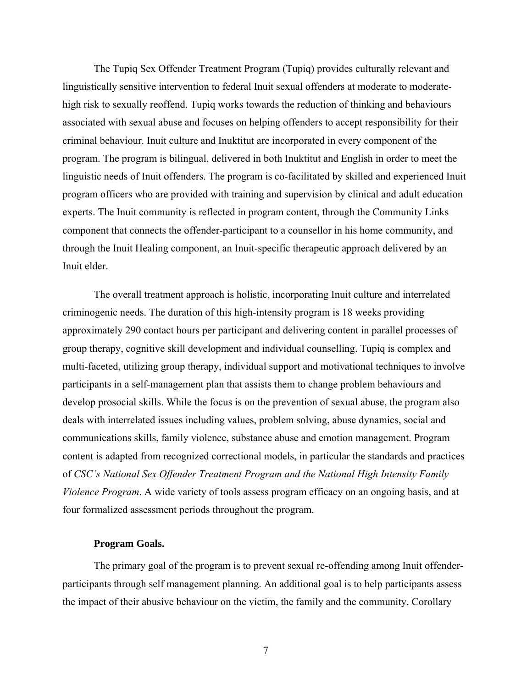<span id="page-22-0"></span>The Tupiq Sex Offender Treatment Program (Tupiq) provides culturally relevant and linguistically sensitive intervention to federal Inuit sexual offenders at moderate to moderatehigh risk to sexually reoffend. Tupiq works towards the reduction of thinking and behaviours associated with sexual abuse and focuses on helping offenders to accept responsibility for their criminal behaviour. Inuit culture and Inuktitut are incorporated in every component of the program. The program is bilingual, delivered in both Inuktitut and English in order to meet the linguistic needs of Inuit offenders. The program is co-facilitated by skilled and experienced Inuit program officers who are provided with training and supervision by clinical and adult education experts. The Inuit community is reflected in program content, through the Community Links component that connects the offender-participant to a counsellor in his home community, and through the Inuit Healing component, an Inuit-specific therapeutic approach delivered by an Inuit elder.

The overall treatment approach is holistic, incorporating Inuit culture and interrelated criminogenic needs. The duration of this high-intensity program is 18 weeks providing approximately 290 contact hours per participant and delivering content in parallel processes of group therapy, cognitive skill development and individual counselling. Tupiq is complex and multi-faceted, utilizing group therapy, individual support and motivational techniques to involve participants in a self-management plan that assists them to change problem behaviours and develop prosocial skills. While the focus is on the prevention of sexual abuse, the program also deals with interrelated issues including values, problem solving, abuse dynamics, social and communications skills, family violence, substance abuse and emotion management. Program content is adapted from recognized correctional models, in particular the standards and practices of *CSC's National Sex Offender Treatment Program and the National High Intensity Family Violence Program*. A wide variety of tools assess program efficacy on an ongoing basis, and at four formalized assessment periods throughout the program.

## **Program Goals.**

The primary goal of the program is to prevent sexual re-offending among Inuit offenderparticipants through self management planning. An additional goal is to help participants assess the impact of their abusive behaviour on the victim, the family and the community. Corollary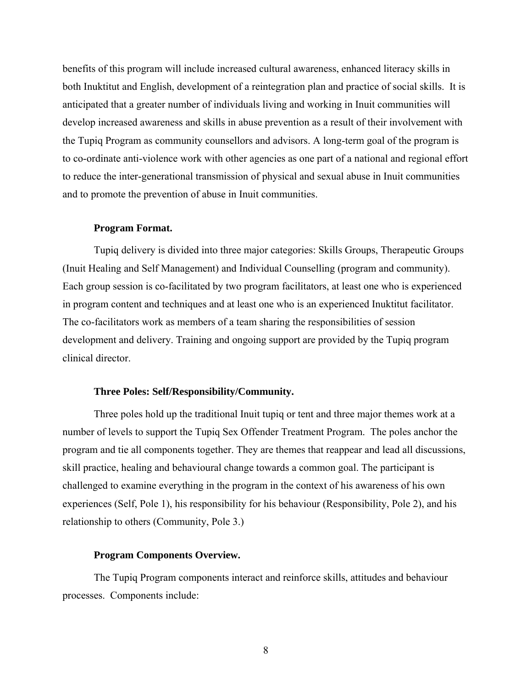<span id="page-23-0"></span>benefits of this program will include increased cultural awareness, enhanced literacy skills in both Inuktitut and English, development of a reintegration plan and practice of social skills. It is anticipated that a greater number of individuals living and working in Inuit communities will develop increased awareness and skills in abuse prevention as a result of their involvement with the Tupiq Program as community counsellors and advisors. A long-term goal of the program is to co-ordinate anti-violence work with other agencies as one part of a national and regional effort to reduce the inter-generational transmission of physical and sexual abuse in Inuit communities and to promote the prevention of abuse in Inuit communities.

#### **Program Format.**

Tupiq delivery is divided into three major categories: Skills Groups, Therapeutic Groups (Inuit Healing and Self Management) and Individual Counselling (program and community). Each group session is co-facilitated by two program facilitators, at least one who is experienced in program content and techniques and at least one who is an experienced Inuktitut facilitator. The co-facilitators work as members of a team sharing the responsibilities of session development and delivery. Training and ongoing support are provided by the Tupiq program clinical director.

#### **Three Poles: Self/Responsibility/Community.**

Three poles hold up the traditional Inuit tupiq or tent and three major themes work at a number of levels to support the Tupiq Sex Offender Treatment Program. The poles anchor the program and tie all components together. They are themes that reappear and lead all discussions, skill practice, healing and behavioural change towards a common goal. The participant is challenged to examine everything in the program in the context of his awareness of his own experiences (Self, Pole 1), his responsibility for his behaviour (Responsibility, Pole 2), and his relationship to others (Community, Pole 3.)

#### **Program Components Overview.**

The Tupiq Program components interact and reinforce skills, attitudes and behaviour processes. Components include: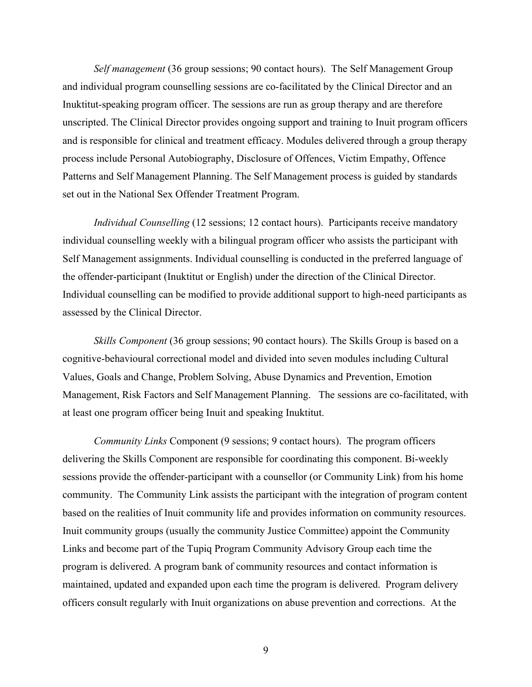*Self management* (36 group sessions; 90 contact hours). The Self Management Group and individual program counselling sessions are co-facilitated by the Clinical Director and an Inuktitut-speaking program officer. The sessions are run as group therapy and are therefore unscripted. The Clinical Director provides ongoing support and training to Inuit program officers and is responsible for clinical and treatment efficacy. Modules delivered through a group therapy process include Personal Autobiography, Disclosure of Offences, Victim Empathy, Offence Patterns and Self Management Planning. The Self Management process is guided by standards set out in the National Sex Offender Treatment Program.

*Individual Counselling* (12 sessions; 12 contact hours). Participants receive mandatory individual counselling weekly with a bilingual program officer who assists the participant with Self Management assignments. Individual counselling is conducted in the preferred language of the offender-participant (Inuktitut or English) under the direction of the Clinical Director. Individual counselling can be modified to provide additional support to high-need participants as assessed by the Clinical Director.

*Skills Component* (36 group sessions; 90 contact hours). The Skills Group is based on a cognitive-behavioural correctional model and divided into seven modules including Cultural Values, Goals and Change, Problem Solving, Abuse Dynamics and Prevention, Emotion Management, Risk Factors and Self Management Planning. The sessions are co-facilitated, with at least one program officer being Inuit and speaking Inuktitut.

*Community Links* Component (9 sessions; 9 contact hours). The program officers delivering the Skills Component are responsible for coordinating this component. Bi-weekly sessions provide the offender-participant with a counsellor (or Community Link) from his home community. The Community Link assists the participant with the integration of program content based on the realities of Inuit community life and provides information on community resources. Inuit community groups (usually the community Justice Committee) appoint the Community Links and become part of the Tupiq Program Community Advisory Group each time the program is delivered. A program bank of community resources and contact information is maintained, updated and expanded upon each time the program is delivered. Program delivery officers consult regularly with Inuit organizations on abuse prevention and corrections. At the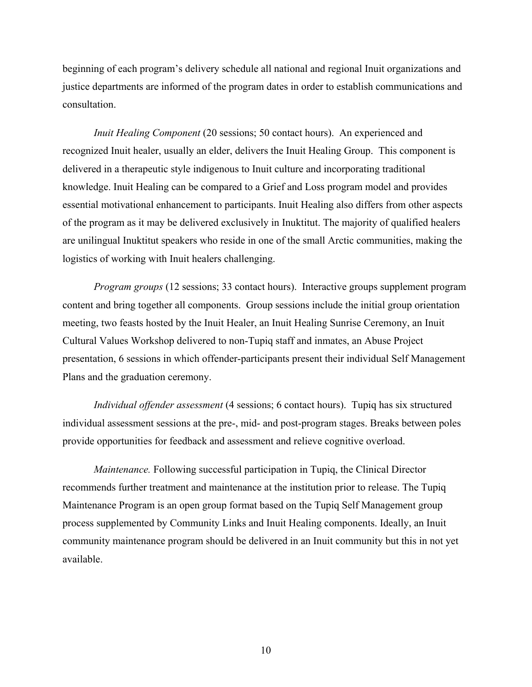beginning of each program's delivery schedule all national and regional Inuit organizations and justice departments are informed of the program dates in order to establish communications and consultation.

*Inuit Healing Component* (20 sessions; 50 contact hours). An experienced and recognized Inuit healer, usually an elder, delivers the Inuit Healing Group. This component is delivered in a therapeutic style indigenous to Inuit culture and incorporating traditional knowledge. Inuit Healing can be compared to a Grief and Loss program model and provides essential motivational enhancement to participants. Inuit Healing also differs from other aspects of the program as it may be delivered exclusively in Inuktitut. The majority of qualified healers are unilingual Inuktitut speakers who reside in one of the small Arctic communities, making the logistics of working with Inuit healers challenging.

*Program groups* (12 sessions; 33 contact hours). Interactive groups supplement program content and bring together all components. Group sessions include the initial group orientation meeting, two feasts hosted by the Inuit Healer, an Inuit Healing Sunrise Ceremony, an Inuit Cultural Values Workshop delivered to non-Tupiq staff and inmates, an Abuse Project presentation, 6 sessions in which offender-participants present their individual Self Management Plans and the graduation ceremony.

*Individual offender assessment* (4 sessions; 6 contact hours). Tupiq has six structured individual assessment sessions at the pre-, mid- and post-program stages. Breaks between poles provide opportunities for feedback and assessment and relieve cognitive overload.

*Maintenance.* Following successful participation in Tupiq, the Clinical Director recommends further treatment and maintenance at the institution prior to release. The Tupiq Maintenance Program is an open group format based on the Tupiq Self Management group process supplemented by Community Links and Inuit Healing components. Ideally, an Inuit community maintenance program should be delivered in an Inuit community but this in not yet available.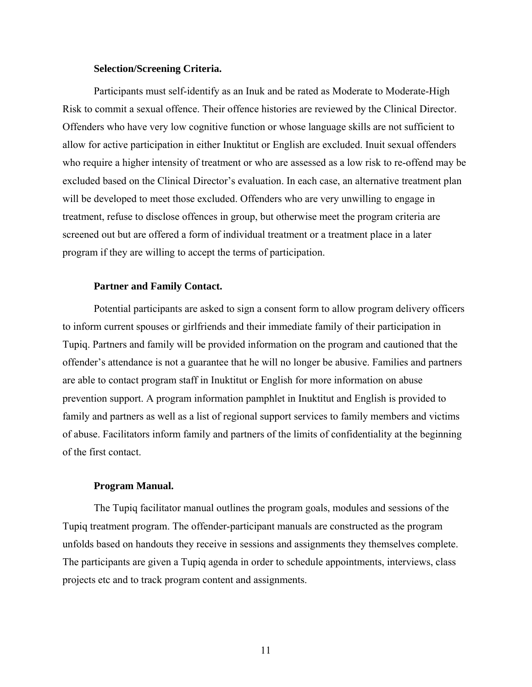#### **Selection/Screening Criteria.**

<span id="page-26-0"></span>Participants must self-identify as an Inuk and be rated as Moderate to Moderate-High Risk to commit a sexual offence. Their offence histories are reviewed by the Clinical Director. Offenders who have very low cognitive function or whose language skills are not sufficient to allow for active participation in either Inuktitut or English are excluded. Inuit sexual offenders who require a higher intensity of treatment or who are assessed as a low risk to re-offend may be excluded based on the Clinical Director's evaluation. In each case, an alternative treatment plan will be developed to meet those excluded. Offenders who are very unwilling to engage in treatment, refuse to disclose offences in group, but otherwise meet the program criteria are screened out but are offered a form of individual treatment or a treatment place in a later program if they are willing to accept the terms of participation.

#### **Partner and Family Contact.**

Potential participants are asked to sign a consent form to allow program delivery officers to inform current spouses or girlfriends and their immediate family of their participation in Tupiq. Partners and family will be provided information on the program and cautioned that the offender's attendance is not a guarantee that he will no longer be abusive. Families and partners are able to contact program staff in Inuktitut or English for more information on abuse prevention support. A program information pamphlet in Inuktitut and English is provided to family and partners as well as a list of regional support services to family members and victims of abuse. Facilitators inform family and partners of the limits of confidentiality at the beginning of the first contact.

#### **Program Manual.**

The Tupiq facilitator manual outlines the program goals, modules and sessions of the Tupiq treatment program. The offender-participant manuals are constructed as the program unfolds based on handouts they receive in sessions and assignments they themselves complete. The participants are given a Tupiq agenda in order to schedule appointments, interviews, class projects etc and to track program content and assignments.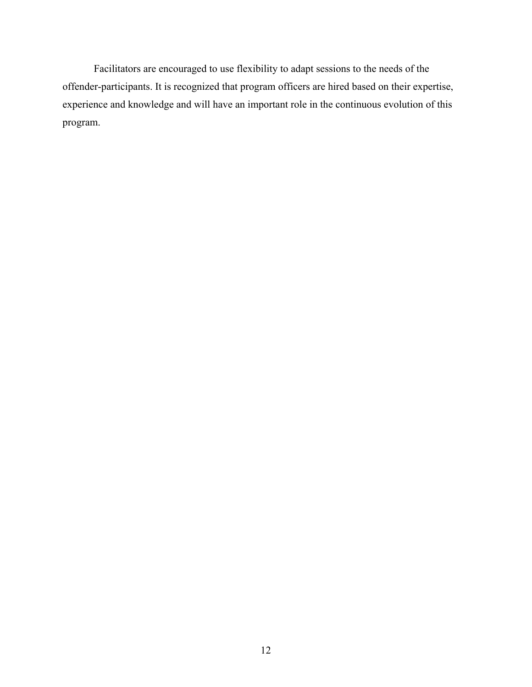Facilitators are encouraged to use flexibility to adapt sessions to the needs of the offender-participants. It is recognized that program officers are hired based on their expertise, experience and knowledge and will have an important role in the continuous evolution of this program.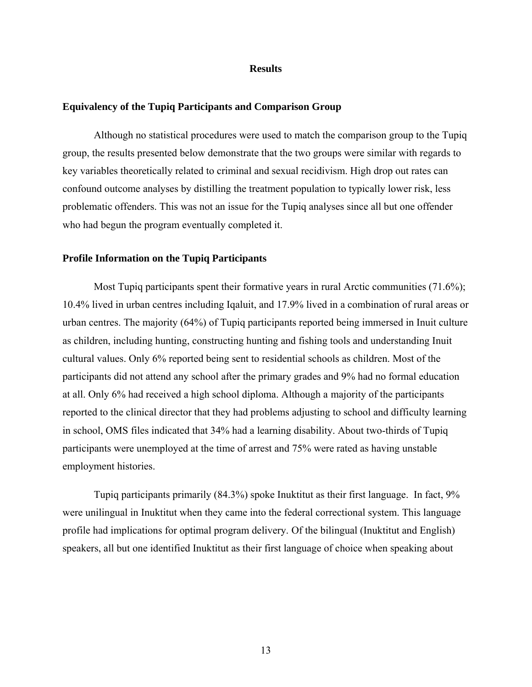#### **Results**

#### <span id="page-28-1"></span><span id="page-28-0"></span>**Equivalency of the Tupiq Participants and Comparison Group**

Although no statistical procedures were used to match the comparison group to the Tupiq group, the results presented below demonstrate that the two groups were similar with regards to key variables theoretically related to criminal and sexual recidivism. High drop out rates can confound outcome analyses by distilling the treatment population to typically lower risk, less problematic offenders. This was not an issue for the Tupiq analyses since all but one offender who had begun the program eventually completed it.

#### **Profile Information on the Tupiq Participants**

Most Tupiq participants spent their formative years in rural Arctic communities (71.6%); 10.4% lived in urban centres including Iqaluit, and 17.9% lived in a combination of rural areas or urban centres. The majority (64%) of Tupiq participants reported being immersed in Inuit culture as children, including hunting, constructing hunting and fishing tools and understanding Inuit cultural values. Only 6% reported being sent to residential schools as children. Most of the participants did not attend any school after the primary grades and 9% had no formal education at all. Only 6% had received a high school diploma. Although a majority of the participants reported to the clinical director that they had problems adjusting to school and difficulty learning in school, OMS files indicated that 34% had a learning disability. About two-thirds of Tupiq participants were unemployed at the time of arrest and 75% were rated as having unstable employment histories.

Tupiq participants primarily (84.3%) spoke Inuktitut as their first language. In fact, 9% were unilingual in Inuktitut when they came into the federal correctional system. This language profile had implications for optimal program delivery. Of the bilingual (Inuktitut and English) speakers, all but one identified Inuktitut as their first language of choice when speaking about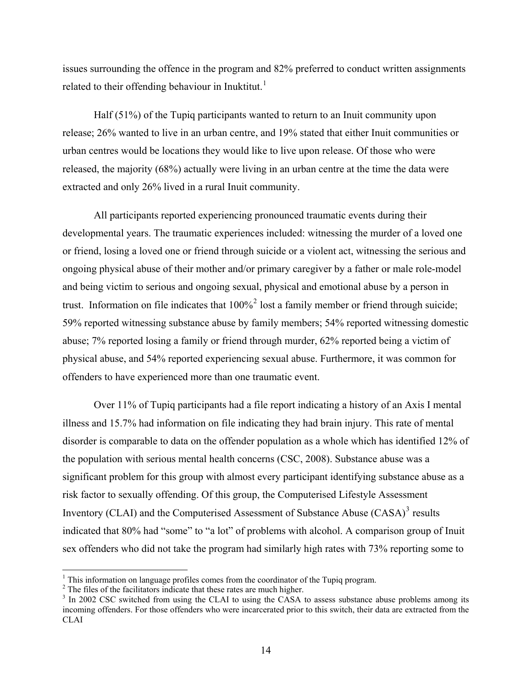issues surrounding the offence in the program and 82% preferred to conduct written assignments related to their offending behaviour in Inuktitut.<sup>[1](#page-29-0)</sup>

Half (51%) of the Tupiq participants wanted to return to an Inuit community upon release; 26% wanted to live in an urban centre, and 19% stated that either Inuit communities or urban centres would be locations they would like to live upon release. Of those who were released, the majority (68%) actually were living in an urban centre at the time the data were extracted and only 26% lived in a rural Inuit community.

All participants reported experiencing pronounced traumatic events during their developmental years. The traumatic experiences included: witnessing the murder of a loved one or friend, losing a loved one or friend through suicide or a violent act, witnessing the serious and ongoing physical abuse of their mother and/or primary caregiver by a father or male role-model and being victim to serious and ongoing sexual, physical and emotional abuse by a person in trust. Information on file indicates that  $100\%$ <sup>[2](#page-29-1)</sup> lost a family member or friend through suicide; 59% reported witnessing substance abuse by family members; 54% reported witnessing domestic abuse; 7% reported losing a family or friend through murder, 62% reported being a victim of physical abuse, and 54% reported experiencing sexual abuse. Furthermore, it was common for offenders to have experienced more than one traumatic event.

Over 11% of Tupiq participants had a file report indicating a history of an Axis I mental illness and 15.7% had information on file indicating they had brain injury. This rate of mental disorder is comparable to data on the offender population as a whole which has identified 12% of the population with serious mental health concerns (CSC, 2008). Substance abuse was a significant problem for this group with almost every participant identifying substance abuse as a risk factor to sexually offending. Of this group, the Computerised Lifestyle Assessment Inventory (CLAI) and the Computerised Assessment of Substance Abuse  $(CASA)^3$  $(CASA)^3$  results indicated that 80% had "some" to "a lot" of problems with alcohol. A comparison group of Inuit sex offenders who did not take the program had similarly high rates with 73% reporting some to

 $\overline{a}$ 

<span id="page-29-0"></span><sup>&</sup>lt;sup>1</sup> This information on language profiles comes from the coordinator of the Tupiq program.

<span id="page-29-1"></span><sup>&</sup>lt;sup>2</sup> The files of the facilitators indicate that these rates are much higher.

<span id="page-29-2"></span><sup>&</sup>lt;sup>3</sup> In 2002 CSC switched from using the CLAI to using the CASA to assess substance abuse problems among its incoming offenders. For those offenders who were incarcerated prior to this switch, their data are extracted from the CLAI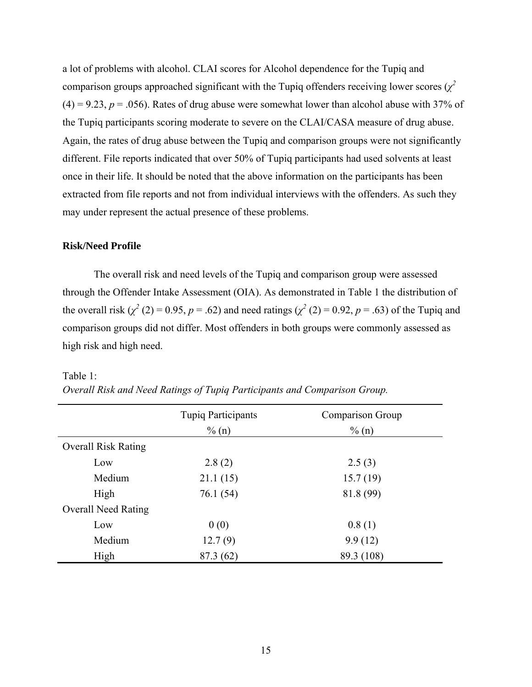<span id="page-30-0"></span>a lot of problems with alcohol. CLAI scores for Alcohol dependence for the Tupiq and comparison groups approached significant with the Tupiq offenders receiving lower scores  $(\chi^2)$  $(4) = 9.23$ ,  $p = .056$ ). Rates of drug abuse were somewhat lower than alcohol abuse with 37% of the Tupiq participants scoring moderate to severe on the CLAI/CASA measure of drug abuse. Again, the rates of drug abuse between the Tupiq and comparison groups were not significantly different. File reports indicated that over 50% of Tupiq participants had used solvents at least once in their life. It should be noted that the above information on the participants has been extracted from file reports and not from individual interviews with the offenders. As such they may under represent the actual presence of these problems.

#### **Risk/Need Profile**

The overall risk and need levels of the Tupiq and comparison group were assessed through the Offender Intake Assessment (OIA). As demonstrated in [Table 1](#page-30-1) the distribution of the overall risk  $(\chi^2(2) = 0.95, p = .62)$  and need ratings  $(\chi^2(2) = 0.92, p = .63)$  of the Tupiq and comparison groups did not differ. Most offenders in both groups were commonly assessed as high risk and high need.

| Table 1: |  |
|----------|--|
|          |  |

|                            | <b>Tupiq Participants</b> | Comparison Group |
|----------------------------|---------------------------|------------------|
|                            | $\%$ (n)                  | $\%$ (n)         |
| <b>Overall Risk Rating</b> |                           |                  |
| Low                        | 2.8(2)                    | 2.5(3)           |
| Medium                     | 21.1(15)                  | 15.7(19)         |
| High                       | 76.1 (54)                 | 81.8 (99)        |
| <b>Overall Need Rating</b> |                           |                  |
| Low                        | 0(0)                      | 0.8(1)           |
| Medium                     | 12.7(9)                   | 9.9(12)          |
| High                       | 87.3 (62)                 | 89.3 (108)       |

<span id="page-30-1"></span>

| Overall Risk and Need Ratings of Tupiq Participants and Comparison Group. |
|---------------------------------------------------------------------------|
|---------------------------------------------------------------------------|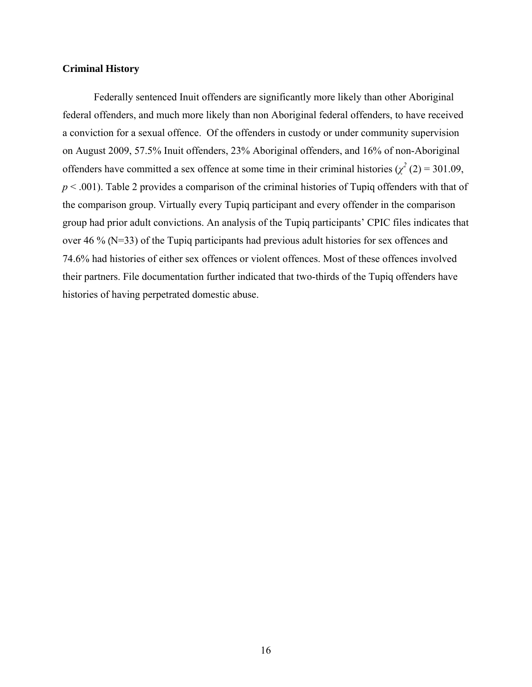#### <span id="page-31-0"></span>**Criminal History**

Federally sentenced Inuit offenders are significantly more likely than other Aboriginal federal offenders, and much more likely than non Aboriginal federal offenders, to have received a conviction for a sexual offence. Of the offenders in custody or under community supervision on August 2009, 57.5% Inuit offenders, 23% Aboriginal offenders, and 16% of non-Aboriginal offenders have committed a sex offence at some time in their criminal histories ( $\chi^2$  (2) = 301.09, *p* < .001). [Table 2](#page-32-1) provides a comparison of the criminal histories of Tupiq offenders with that of the comparison group. Virtually every Tupiq participant and every offender in the comparison group had prior adult convictions. An analysis of the Tupiq participants' CPIC files indicates that over 46 % (N=33) of the Tupiq participants had previous adult histories for sex offences and 74.6% had histories of either sex offences or violent offences. Most of these offences involved their partners. File documentation further indicated that two-thirds of the Tupiq offenders have histories of having perpetrated domestic abuse.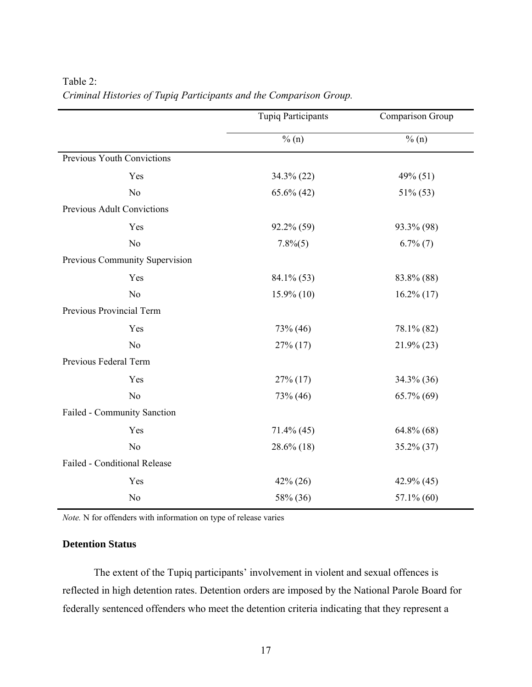|                                | <b>Tupiq Participants</b> | Comparison Group |
|--------------------------------|---------------------------|------------------|
|                                | % (n)                     | $\%$ (n)         |
| Previous Youth Convictions     |                           |                  |
| Yes                            | $34.3\%$ (22)             | 49% (51)         |
| N <sub>o</sub>                 | $65.6\%$ (42)             | 51% (53)         |
| Previous Adult Convictions     |                           |                  |
| Yes                            | 92.2% (59)                | 93.3% (98)       |
| N <sub>o</sub>                 | $7.8\%(5)$                | $6.7\%$ $(7)$    |
| Previous Community Supervision |                           |                  |
| Yes                            | 84.1% (53)                | 83.8% (88)       |
| N <sub>o</sub>                 | $15.9\%$ (10)             | $16.2\%$ (17)    |
| Previous Provincial Term       |                           |                  |
| Yes                            | 73% (46)                  | 78.1% (82)       |
| N <sub>o</sub>                 | $27\%$ (17)               | $21.9\%$ (23)    |
| Previous Federal Term          |                           |                  |
| Yes                            | $27\%$ (17)               | $34.3\%$ (36)    |
| N <sub>0</sub>                 | 73% (46)                  | 65.7% (69)       |
| Failed - Community Sanction    |                           |                  |
| Yes                            | $71.4\%$ (45)             | $64.8\%$ $(68)$  |
| N <sub>o</sub>                 | $28.6\%$ (18)             | $35.2\%$ (37)    |
| Failed - Conditional Release   |                           |                  |
| Yes                            | $42\% (26)$               | 42.9% (45)       |
| N <sub>o</sub>                 | 58% (36)                  | $57.1\%$ (60)    |

# <span id="page-32-1"></span><span id="page-32-0"></span>Table 2: *Criminal Histories of Tupiq Participants and the Comparison Group.*

*Note.* N for offenders with information on type of release varies

## **Detention Status**

The extent of the Tupiq participants' involvement in violent and sexual offences is reflected in high detention rates. Detention orders are imposed by the National Parole Board for federally sentenced offenders who meet the detention criteria indicating that they represent a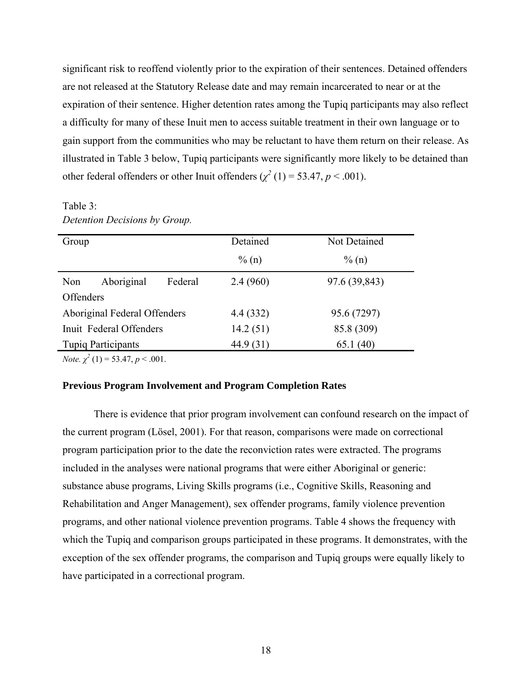<span id="page-33-0"></span>significant risk to reoffend violently prior to the expiration of their sentences. Detained offenders are not released at the Statutory Release date and may remain incarcerated to near or at the expiration of their sentence. Higher detention rates among the Tupiq participants may also reflect a difficulty for many of these Inuit men to access suitable treatment in their own language or to gain support from the communities who may be reluctant to have them return on their release. As illustrated in [Table 3](#page-33-1) below, Tupiq participants were significantly more likely to be detained than other federal offenders or other Inuit offenders  $(\chi^2(1) = 53.47, p < .001)$ .

## <span id="page-33-1"></span>Table 3: *Detention Decisions by Group.*

| Group                     |                              |           | Detained   | Not Detained  |
|---------------------------|------------------------------|-----------|------------|---------------|
|                           |                              |           | $\%$ (n)   | $\%$ (n)      |
| Non                       | Aboriginal                   | Federal   | 2.4(960)   | 97.6 (39,843) |
| Offenders                 |                              |           |            |               |
|                           | Aboriginal Federal Offenders |           | 4.4 (332)  | 95.6 (7297)   |
| Inuit Federal Offenders   |                              | 14.2(51)  | 85.8 (309) |               |
| <b>Tupiq Participants</b> |                              | 44.9 (31) | 65.1(40)   |               |

*Note.*  $\chi^2$  (1) = 53.47, *p* < .001.

#### **Previous Program Involvement and Program Completion Rates**

There is evidence that prior program involvement can confound research on the impact of the current program (Lösel, 2001). For that reason, comparisons were made on correctional program participation prior to the date the reconviction rates were extracted. The programs included in the analyses were national programs that were either Aboriginal or generic: substance abuse programs, Living Skills programs (i.e., Cognitive Skills, Reasoning and Rehabilitation and Anger Management), sex offender programs, family violence prevention programs, and other national violence prevention programs. [Table 4](#page-34-1) shows the frequency with which the Tupiq and comparison groups participated in these programs. It demonstrates, with the exception of the sex offender programs, the comparison and Tupiq groups were equally likely to have participated in a correctional program.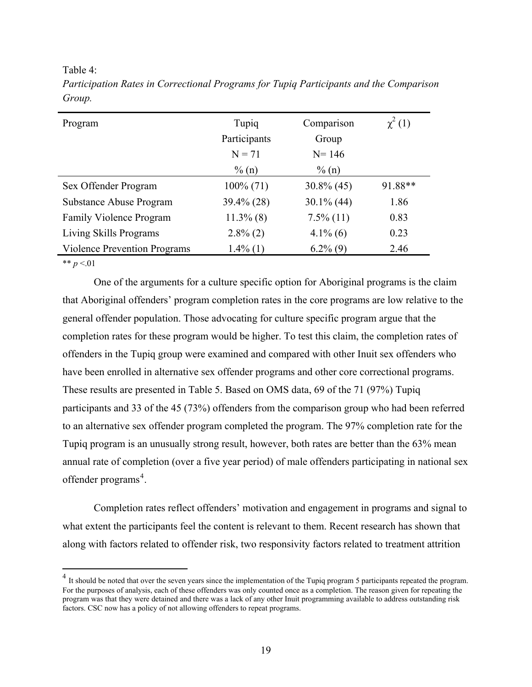<span id="page-34-1"></span><span id="page-34-0"></span>Table 4:

| Program                             | Tupiq<br>Participants | Comparison<br>Group | $\chi^2(1)$ |
|-------------------------------------|-----------------------|---------------------|-------------|
|                                     | $N = 71$              | $N = 146$           |             |
|                                     | $\%$ (n)              | $\%$ (n)            |             |
| Sex Offender Program                | $100\%$ (71)          | $30.8\%$ (45)       | 91.88**     |
| Substance Abuse Program             | 39.4% (28)            | $30.1\%$ (44)       | 1.86        |
| Family Violence Program             | $11.3\%$ (8)          | $7.5\%$ (11)        | 0.83        |
| Living Skills Programs              | $2.8\%$ (2)           | $4.1\%$ (6)         | 0.23        |
| <b>Violence Prevention Programs</b> | $1.4\%$ (1)           | $6.2\%$ (9)         | 2.46        |

*Participation Rates in Correctional Programs for Tupiq Participants and the Comparison Group.* 

\*\*  $p < 01$ 

1

One of the arguments for a culture specific option for Aboriginal programs is the claim that Aboriginal offenders' program completion rates in the core programs are low relative to the general offender population. Those advocating for culture specific program argue that the completion rates for these program would be higher. To test this claim, the completion rates of offenders in the Tupiq group were examined and compared with other Inuit sex offenders who have been enrolled in alternative sex offender programs and other core correctional programs. These results are presented in [Table 5](#page-35-1). Based on OMS data, 69 of the 71 (97%) Tupiq participants and 33 of the 45 (73%) offenders from the comparison group who had been referred to an alternative sex offender program completed the program. The 97% completion rate for the Tupiq program is an unusually strong result, however, both rates are better than the 63% mean annual rate of completion (over a five year period) of male offenders participating in national sex offender programs<sup>[4](#page-34-2)</sup>.

Completion rates reflect offenders' motivation and engagement in programs and signal to what extent the participants feel the content is relevant to them. Recent research has shown that along with factors related to offender risk, two responsivity factors related to treatment attrition

<span id="page-34-2"></span> $<sup>4</sup>$  It should be noted that over the seven years since the implementation of the Tupiq program 5 participants repeated the program.</sup> For the purposes of analysis, each of these offenders was only counted once as a completion. The reason given for repeating the program was that they were detained and there was a lack of any other Inuit programming available to address outstanding risk factors. CSC now has a policy of not allowing offenders to repeat programs.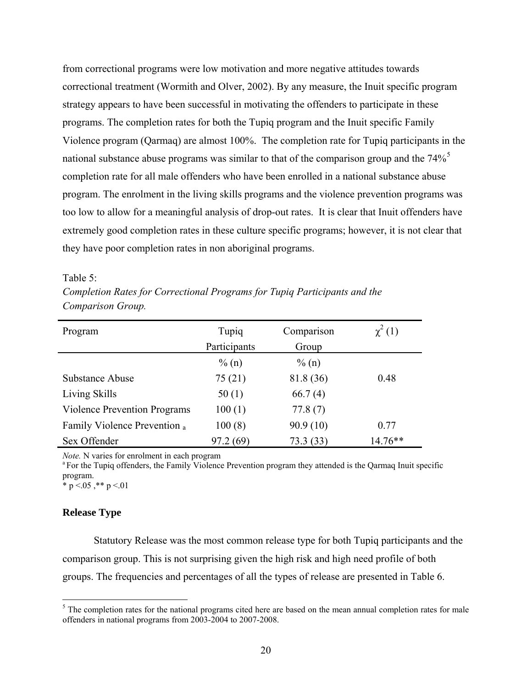<span id="page-35-0"></span>from correctional programs were low motivation and more negative attitudes towards correctional treatment (Wormith and Olver, 2002). By any measure, the Inuit specific program strategy appears to have been successful in motivating the offenders to participate in these programs. The completion rates for both the Tupiq program and the Inuit specific Family Violence program (Qarmaq) are almost 100%. The completion rate for Tupiq participants in the national substance abuse programs was similar to that of the comparison group and the  $74\%$ <sup>[5](#page-35-2)</sup> completion rate for all male offenders who have been enrolled in a national substance abuse program. The enrolment in the living skills programs and the violence prevention programs was too low to allow for a meaningful analysis of drop-out rates. It is clear that Inuit offenders have extremely good completion rates in these culture specific programs; however, it is not clear that they have poor completion rates in non aboriginal programs.

#### <span id="page-35-1"></span>Table 5:

| Completion Rates for Correctional Programs for Tupiq Participants and the |  |  |
|---------------------------------------------------------------------------|--|--|
| Comparison Group.                                                         |  |  |

| Program                             | Tupiq        | Comparison | $\chi^2(1)$ |
|-------------------------------------|--------------|------------|-------------|
|                                     | Participants | Group      |             |
|                                     | $\%$ (n)     | $\%$ (n)   |             |
| Substance Abuse                     | 75(21)       | 81.8 (36)  | 0.48        |
| Living Skills                       | 50(1)        | 66.7(4)    |             |
| <b>Violence Prevention Programs</b> | 100(1)       | 77.8(7)    |             |
| Family Violence Prevention a        | 100(8)       | 90.9(10)   | 0.77        |
| Sex Offender                        | 97.2(69)     | 73.3(33)   | $14.76**$   |

*Note.* N varies for enrolment in each program<br><sup>a</sup> For the Tupiq offenders, the Family Violence Prevention program they attended is the Qarmaq Inuit specific program.

\* p  $\leq$  05,\*\* p  $\leq$  01

### **Release Type**

 $\overline{a}$ 

Statutory Release was the most common release type for both Tupiq participants and the comparison group. This is not surprising given the high risk and high need profile of both groups. The frequencies and percentages of all the types of release are presented in [Table 6](#page-36-1).

<span id="page-35-2"></span> $<sup>5</sup>$  The completion rates for the national programs cited here are based on the mean annual completion rates for male</sup> offenders in national programs from 2003-2004 to 2007-2008.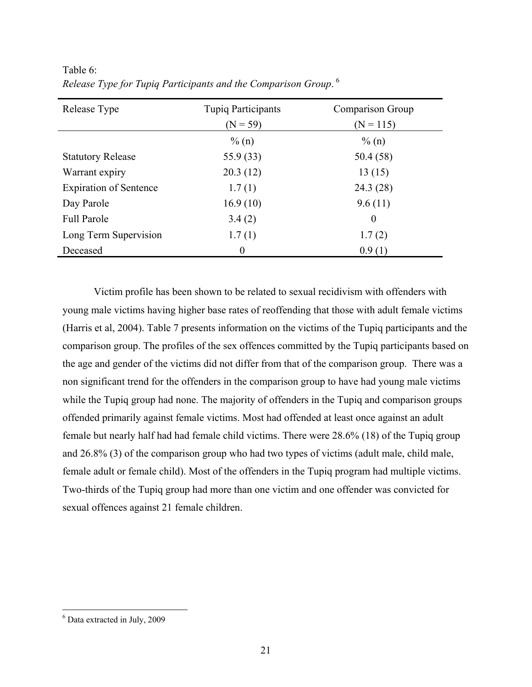| Release Type                  | <b>Tupiq Participants</b> | Comparison Group |
|-------------------------------|---------------------------|------------------|
|                               | $(N = 59)$                | $(N = 115)$      |
|                               | $\%$ (n)                  | $\%$ (n)         |
| <b>Statutory Release</b>      | 55.9 (33)                 | 50.4 (58)        |
| Warrant expiry                | 20.3(12)                  | 13(15)           |
| <b>Expiration of Sentence</b> | 1.7(1)                    | 24.3(28)         |
| Day Parole                    | 16.9(10)                  | 9.6(11)          |
| <b>Full Parole</b>            | 3.4(2)                    | $\theta$         |
| Long Term Supervision         | 1.7(1)                    | 1.7(2)           |
| Deceased                      | $\Omega$                  | 0.9(1)           |

<span id="page-36-1"></span><span id="page-36-0"></span>Table 6: *Release Type for Tupiq Participants and the Comparison Group*. [6](#page-36-2)

Victim profile has been shown to be related to sexual recidivism with offenders with young male victims having higher base rates of reoffending that those with adult female victims (Harris et al, 2004). [Table 7](#page-37-1) presents information on the victims of the Tupiq participants and the comparison group. The profiles of the sex offences committed by the Tupiq participants based on the age and gender of the victims did not differ from that of the comparison group. There was a non significant trend for the offenders in the comparison group to have had young male victims while the Tupiq group had none. The majority of offenders in the Tupiq and comparison groups offended primarily against female victims. Most had offended at least once against an adult female but nearly half had had female child victims. There were 28.6% (18) of the Tupiq group and 26.8% (3) of the comparison group who had two types of victims (adult male, child male, female adult or female child). Most of the offenders in the Tupiq program had multiple victims. Two-thirds of the Tupiq group had more than one victim and one offender was convicted for sexual offences against 21 female children.

 $\overline{a}$ 

<span id="page-36-2"></span><sup>6</sup> Data extracted in July, 2009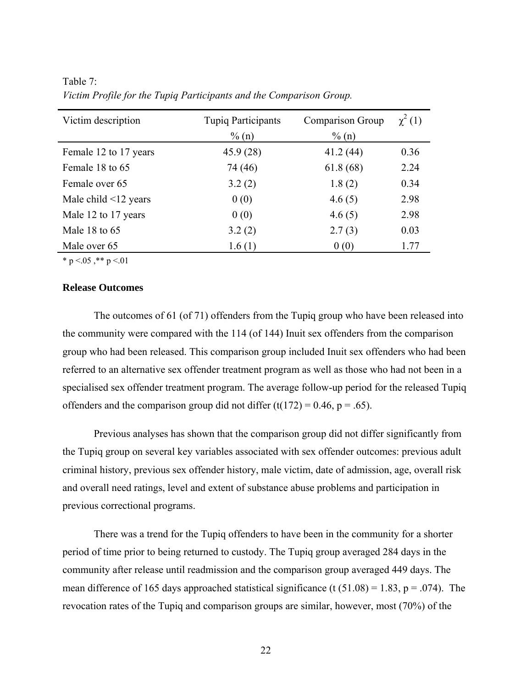| Victim description         | <b>Tupiq Participants</b><br>$\%$ (n) | Comparison Group<br>$\%$ (n) | $\chi^2(1)$ |
|----------------------------|---------------------------------------|------------------------------|-------------|
| Female 12 to 17 years      | 45.9 (28)                             | 41.2(44)                     | 0.36        |
| Female 18 to 65            | 74 (46)                               | 61.8(68)                     | 2.24        |
| Female over 65             | 3.2(2)                                | 1.8(2)                       | 0.34        |
| Male child $\leq$ 12 years | 0(0)                                  | 4.6(5)                       | 2.98        |
| Male 12 to 17 years        | 0(0)                                  | 4.6(5)                       | 2.98        |
| Male 18 to 65              | 3.2(2)                                | 2.7(3)                       | 0.03        |
| Male over 65               | 1.6(1)                                | 0(0)                         | 1.77        |

<span id="page-37-1"></span><span id="page-37-0"></span>Table 7: *Victim Profile for the Tupiq Participants and the Comparison Group.*

\* p  $\leq 0.05$ , \*\* p  $\leq 0.01$ 

### **Release Outcomes**

The outcomes of 61 (of 71) offenders from the Tupiq group who have been released into the community were compared with the 114 (of 144) Inuit sex offenders from the comparison group who had been released. This comparison group included Inuit sex offenders who had been referred to an alternative sex offender treatment program as well as those who had not been in a specialised sex offender treatment program. The average follow-up period for the released Tupiq offenders and the comparison group did not differ  $(t(172) = 0.46, p = .65)$ .

Previous analyses has shown that the comparison group did not differ significantly from the Tupiq group on several key variables associated with sex offender outcomes: previous adult criminal history, previous sex offender history, male victim, date of admission, age, overall risk and overall need ratings, level and extent of substance abuse problems and participation in previous correctional programs.

There was a trend for the Tupiq offenders to have been in the community for a shorter period of time prior to being returned to custody. The Tupiq group averaged 284 days in the community after release until readmission and the comparison group averaged 449 days. The mean difference of 165 days approached statistical significance (t  $(51.08) = 1.83$ , p = .074). The revocation rates of the Tupiq and comparison groups are similar, however, most (70%) of the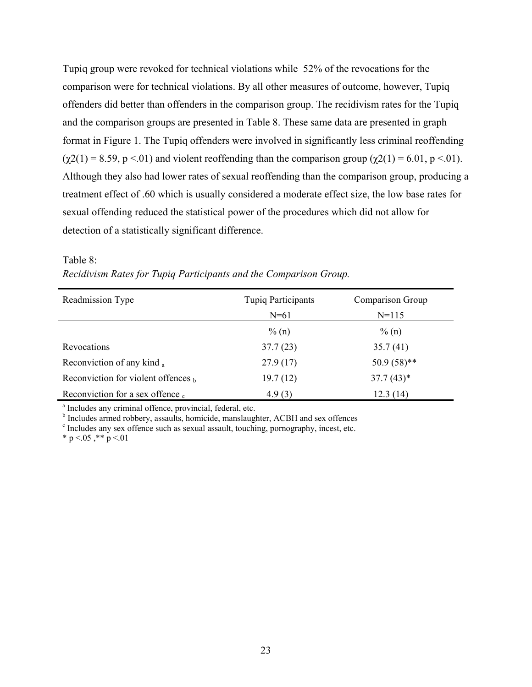<span id="page-38-0"></span>Tupiq group were revoked for technical violations while 52% of the revocations for the comparison were for technical violations. By all other measures of outcome, however, Tupiq offenders did better than offenders in the comparison group. The recidivism rates for the Tupiq and the comparison groups are presented in [Table 8.](#page-38-1) These same data are presented in graph format in [Figure 1.](#page-39-1) The Tupiq offenders were involved in significantly less criminal reoffending  $(\chi^2(1) = 8.59, p \le 01)$  and violent reoffending than the comparison group  $(\chi^2(1) = 6.01, p \le 01)$ . Although they also had lower rates of sexual reoffending than the comparison group, producing a treatment effect of .60 which is usually considered a moderate effect size, the low base rates for sexual offending reduced the statistical power of the procedures which did not allow for detection of a statistically significant difference.

| Readmission Type                      | <b>Tupiq Participants</b> | Comparison Group |
|---------------------------------------|---------------------------|------------------|
|                                       | $N = 61$                  | $N = 115$        |
|                                       | $\%$ (n)                  | $\%$ (n)         |
| Revocations                           | 37.7(23)                  | 35.7(41)         |
| Reconviction of any kind a            | 27.9(17)                  | $50.9(58)$ **    |
| Reconviction for violent offences $b$ | 19.7(12)                  | $37.7(43)*$      |
| Reconviction for a sex offence.       | 4.9(3)                    | 12.3(14)         |

<span id="page-38-1"></span>

| Table 8:                                                          |  |  |  |  |
|-------------------------------------------------------------------|--|--|--|--|
| Recidivism Rates for Tupiq Participants and the Comparison Group. |  |  |  |  |

<sup>a</sup> Includes any criminal offence, provincial, federal, etc.

<sup>b</sup> Includes armed robbery, assaults, homicide, manslaughter, ACBH and sex offences

<sup>c</sup> Includes any sex offence such as sexual assault, touching, pornography, incest, etc.

\* p <.05 ,\*\* p <.01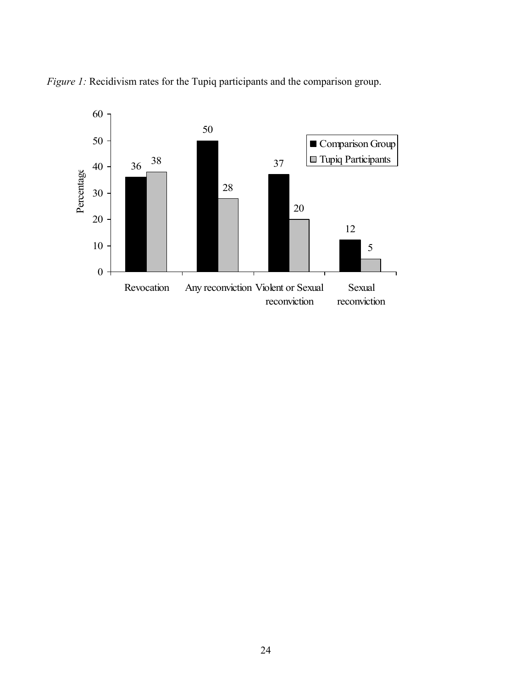

<span id="page-39-1"></span><span id="page-39-0"></span>*Figure 1:* Recidivism rates for the Tupiq participants and the comparison group.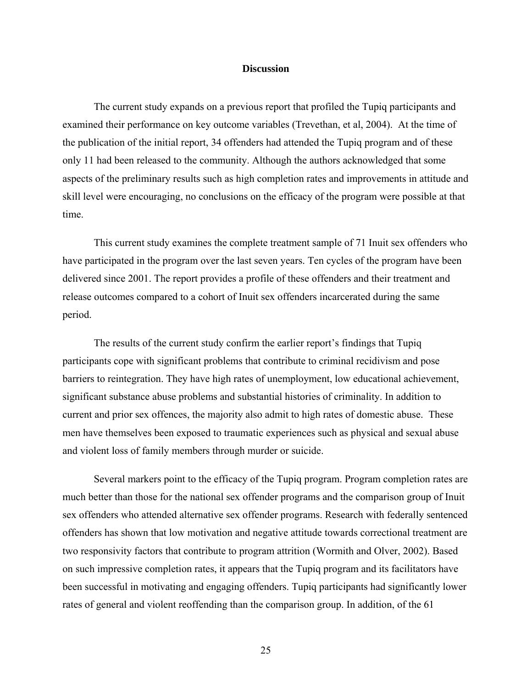#### **Discussion**

<span id="page-40-0"></span>The current study expands on a previous report that profiled the Tupiq participants and examined their performance on key outcome variables (Trevethan, et al, 2004). At the time of the publication of the initial report, 34 offenders had attended the Tupiq program and of these only 11 had been released to the community. Although the authors acknowledged that some aspects of the preliminary results such as high completion rates and improvements in attitude and skill level were encouraging, no conclusions on the efficacy of the program were possible at that time.

This current study examines the complete treatment sample of 71 Inuit sex offenders who have participated in the program over the last seven years. Ten cycles of the program have been delivered since 2001. The report provides a profile of these offenders and their treatment and release outcomes compared to a cohort of Inuit sex offenders incarcerated during the same period.

The results of the current study confirm the earlier report's findings that Tupiq participants cope with significant problems that contribute to criminal recidivism and pose barriers to reintegration. They have high rates of unemployment, low educational achievement, significant substance abuse problems and substantial histories of criminality. In addition to current and prior sex offences, the majority also admit to high rates of domestic abuse. These men have themselves been exposed to traumatic experiences such as physical and sexual abuse and violent loss of family members through murder or suicide.

Several markers point to the efficacy of the Tupiq program. Program completion rates are much better than those for the national sex offender programs and the comparison group of Inuit sex offenders who attended alternative sex offender programs. Research with federally sentenced offenders has shown that low motivation and negative attitude towards correctional treatment are two responsivity factors that contribute to program attrition (Wormith and Olver, 2002). Based on such impressive completion rates, it appears that the Tupiq program and its facilitators have been successful in motivating and engaging offenders. Tupiq participants had significantly lower rates of general and violent reoffending than the comparison group. In addition, of the 61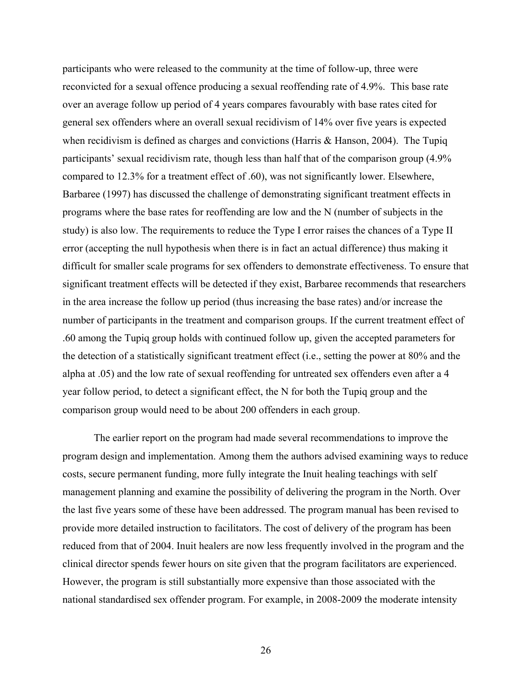participants who were released to the community at the time of follow-up, three were reconvicted for a sexual offence producing a sexual reoffending rate of 4.9%. This base rate over an average follow up period of 4 years compares favourably with base rates cited for general sex offenders where an overall sexual recidivism of 14% over five years is expected when recidivism is defined as charges and convictions (Harris & Hanson, 2004). The Tupiq participants' sexual recidivism rate, though less than half that of the comparison group (4.9% compared to 12.3% for a treatment effect of .60), was not significantly lower. Elsewhere, Barbaree (1997) has discussed the challenge of demonstrating significant treatment effects in programs where the base rates for reoffending are low and the N (number of subjects in the study) is also low. The requirements to reduce the Type I error raises the chances of a Type II error (accepting the null hypothesis when there is in fact an actual difference) thus making it difficult for smaller scale programs for sex offenders to demonstrate effectiveness. To ensure that significant treatment effects will be detected if they exist, Barbaree recommends that researchers in the area increase the follow up period (thus increasing the base rates) and/or increase the number of participants in the treatment and comparison groups. If the current treatment effect of .60 among the Tupiq group holds with continued follow up, given the accepted parameters for the detection of a statistically significant treatment effect (i.e., setting the power at 80% and the alpha at .05) and the low rate of sexual reoffending for untreated sex offenders even after a 4 year follow period, to detect a significant effect, the N for both the Tupiq group and the comparison group would need to be about 200 offenders in each group.

The earlier report on the program had made several recommendations to improve the program design and implementation. Among them the authors advised examining ways to reduce costs, secure permanent funding, more fully integrate the Inuit healing teachings with self management planning and examine the possibility of delivering the program in the North. Over the last five years some of these have been addressed. The program manual has been revised to provide more detailed instruction to facilitators. The cost of delivery of the program has been reduced from that of 2004. Inuit healers are now less frequently involved in the program and the clinical director spends fewer hours on site given that the program facilitators are experienced. However, the program is still substantially more expensive than those associated with the national standardised sex offender program. For example, in 2008-2009 the moderate intensity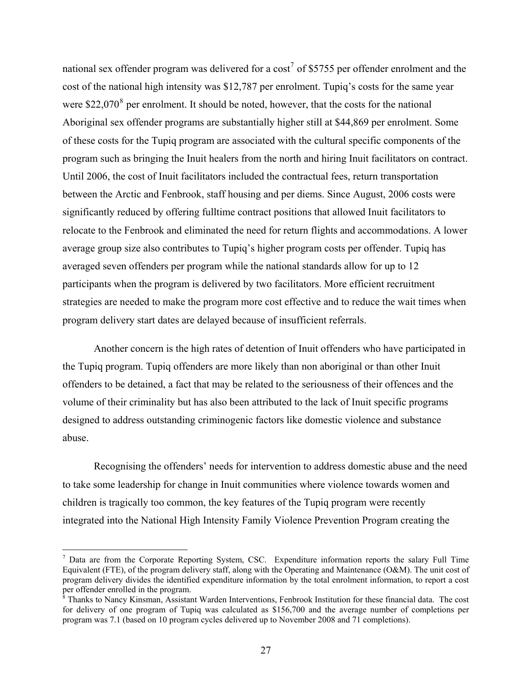national sex offender program was delivered for a cost<sup>[7](#page-42-0)</sup> of \$5755 per offender enrolment and the cost of the national high intensity was \$12,787 per enrolment. Tupiq's costs for the same year were  $$22,070<sup>8</sup>$  $$22,070<sup>8</sup>$  $$22,070<sup>8</sup>$  per enrolment. It should be noted, however, that the costs for the national Aboriginal sex offender programs are substantially higher still at \$44,869 per enrolment. Some of these costs for the Tupiq program are associated with the cultural specific components of the program such as bringing the Inuit healers from the north and hiring Inuit facilitators on contract. Until 2006, the cost of Inuit facilitators included the contractual fees, return transportation between the Arctic and Fenbrook, staff housing and per diems. Since August, 2006 costs were significantly reduced by offering fulltime contract positions that allowed Inuit facilitators to relocate to the Fenbrook and eliminated the need for return flights and accommodations. A lower average group size also contributes to Tupiq's higher program costs per offender. Tupiq has averaged seven offenders per program while the national standards allow for up to 12 participants when the program is delivered by two facilitators. More efficient recruitment strategies are needed to make the program more cost effective and to reduce the wait times when program delivery start dates are delayed because of insufficient referrals.

Another concern is the high rates of detention of Inuit offenders who have participated in the Tupiq program. Tupiq offenders are more likely than non aboriginal or than other Inuit offenders to be detained, a fact that may be related to the seriousness of their offences and the volume of their criminality but has also been attributed to the lack of Inuit specific programs designed to address outstanding criminogenic factors like domestic violence and substance abuse.

Recognising the offenders' needs for intervention to address domestic abuse and the need to take some leadership for change in Inuit communities where violence towards women and children is tragically too common, the key features of the Tupiq program were recently integrated into the National High Intensity Family Violence Prevention Program creating the

 $\overline{a}$ 

<span id="page-42-0"></span> $<sup>7</sup>$  Data are from the Corporate Reporting System, CSC. Expenditure information reports the salary Full Time</sup> Equivalent (FTE), of the program delivery staff, along with the Operating and Maintenance (O&M). The unit cost of program delivery divides the identified expenditure information by the total enrolment information, to report a cost per offender enrolled in the program. 8 Thanks to Nancy Kinsman, Assistant Warden Interventions, Fenbrook Institution for these financial data. The cost

<span id="page-42-1"></span>for delivery of one program of Tupiq was calculated as \$156,700 and the average number of completions per program was 7.1 (based on 10 program cycles delivered up to November 2008 and 71 completions).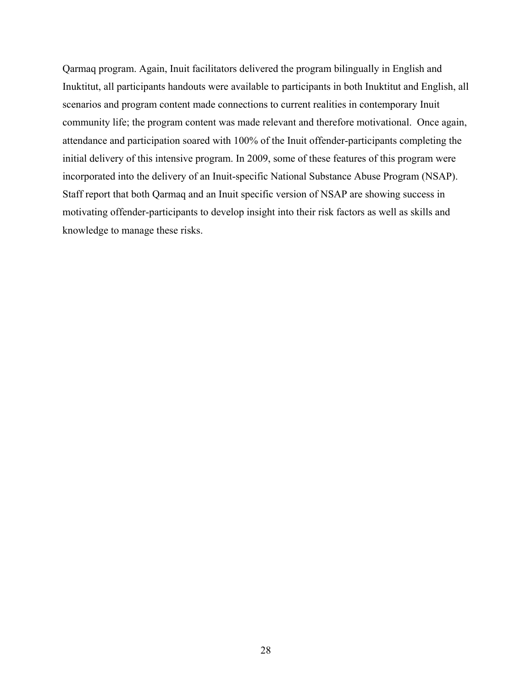Qarmaq program. Again, Inuit facilitators delivered the program bilingually in English and Inuktitut, all participants handouts were available to participants in both Inuktitut and English, all scenarios and program content made connections to current realities in contemporary Inuit community life; the program content was made relevant and therefore motivational. Once again, attendance and participation soared with 100% of the Inuit offender-participants completing the initial delivery of this intensive program. In 2009, some of these features of this program were incorporated into the delivery of an Inuit-specific National Substance Abuse Program (NSAP). Staff report that both Qarmaq and an Inuit specific version of NSAP are showing success in motivating offender-participants to develop insight into their risk factors as well as skills and knowledge to manage these risks.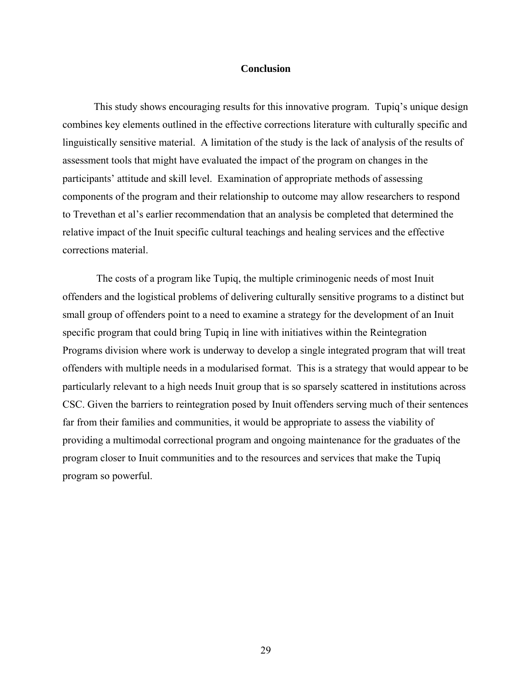#### **Conclusion**

<span id="page-44-0"></span>This study shows encouraging results for this innovative program. Tupiq's unique design combines key elements outlined in the effective corrections literature with culturally specific and linguistically sensitive material. A limitation of the study is the lack of analysis of the results of assessment tools that might have evaluated the impact of the program on changes in the participants' attitude and skill level. Examination of appropriate methods of assessing components of the program and their relationship to outcome may allow researchers to respond to Trevethan et al's earlier recommendation that an analysis be completed that determined the relative impact of the Inuit specific cultural teachings and healing services and the effective corrections material.

 The costs of a program like Tupiq, the multiple criminogenic needs of most Inuit offenders and the logistical problems of delivering culturally sensitive programs to a distinct but small group of offenders point to a need to examine a strategy for the development of an Inuit specific program that could bring Tupiq in line with initiatives within the Reintegration Programs division where work is underway to develop a single integrated program that will treat offenders with multiple needs in a modularised format. This is a strategy that would appear to be particularly relevant to a high needs Inuit group that is so sparsely scattered in institutions across CSC. Given the barriers to reintegration posed by Inuit offenders serving much of their sentences far from their families and communities, it would be appropriate to assess the viability of providing a multimodal correctional program and ongoing maintenance for the graduates of the program closer to Inuit communities and to the resources and services that make the Tupiq program so powerful.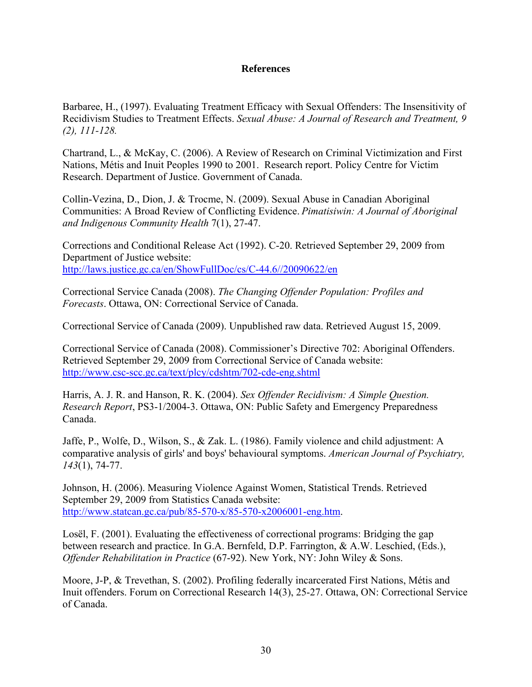## **References**

<span id="page-45-0"></span>Barbaree, H., (1997). Evaluating Treatment Efficacy with Sexual Offenders: The Insensitivity of Recidivism Studies to Treatment Effects. *Sexual Abuse: A Journal of Research and Treatment, 9 (2), 111-128.* 

Chartrand, L., & McKay, C. (2006). A Review of Research on Criminal Victimization and First Nations, Métis and Inuit Peoples 1990 to 2001. Research report. Policy Centre for Victim Research. Department of Justice. Government of Canada.

Collin-Vezina, D., Dion, J. & Trocme, N. (2009). Sexual Abuse in Canadian Aboriginal Communities: A Broad Review of Conflicting Evidence. *Pimatisiwin: A Journal of Aboriginal and Indigenous Community Health* 7(1), 27-47.

Corrections and Conditional Release Act (1992). C-20. Retrieved September 29, 2009 from Department of Justice website: [http://laws.justice.gc.ca/en/ShowFullDoc/cs/C-44.6//20090622/en](http://laws.justice.gc.ca/en/ShowFullDoc/cs/C-44.6/20090622/en) 

Correctional Service Canada (2008). *The Changing Offender Population: Profiles and Forecasts*. Ottawa, ON: Correctional Service of Canada.

Correctional Service of Canada (2009). Unpublished raw data. Retrieved August 15, 2009.

Correctional Service of Canada (2008). Commissioner's Directive 702: Aboriginal Offenders. Retrieved September 29, 2009 from Correctional Service of Canada website: <http://www.csc-scc.gc.ca/text/plcy/cdshtm/702-cde-eng.shtml>

Harris, A. J. R. and Hanson, R. K. (2004). *Sex Offender Recidivism: A Simple Question. Research Report*, PS3-1/2004-3. Ottawa, ON: Public Safety and Emergency Preparedness Canada.

Jaffe, P., Wolfe, D., Wilson, S., & Zak. L. (1986). Family violence and child adjustment: A comparative analysis of girls' and boys' behavioural symptoms. *American Journal of Psychiatry, 143*(1), 74-77.

Johnson, H. (2006). Measuring Violence Against Women, Statistical Trends. Retrieved September 29, 2009 from Statistics Canada website: [http://www.statcan.gc.ca/pub/85-570-x/85-570-x2006001-eng.htm.](http://www.statcan.gc.ca/pub/85-570-x/85-570-x2006001-eng.htm)

Losël, F. (2001). Evaluating the effectiveness of correctional programs: Bridging the gap between research and practice. In G.A. Bernfeld, D.P. Farrington, & A.W. Leschied, (Eds.), *Offender Rehabilitation in Practice* (67-92). New York, NY: John Wiley & Sons.

Moore, J-P, & Trevethan, S. (2002). Profiling federally incarcerated First Nations, Métis and Inuit offenders. Forum on Correctional Research 14(3), 25-27. Ottawa, ON: Correctional Service of Canada.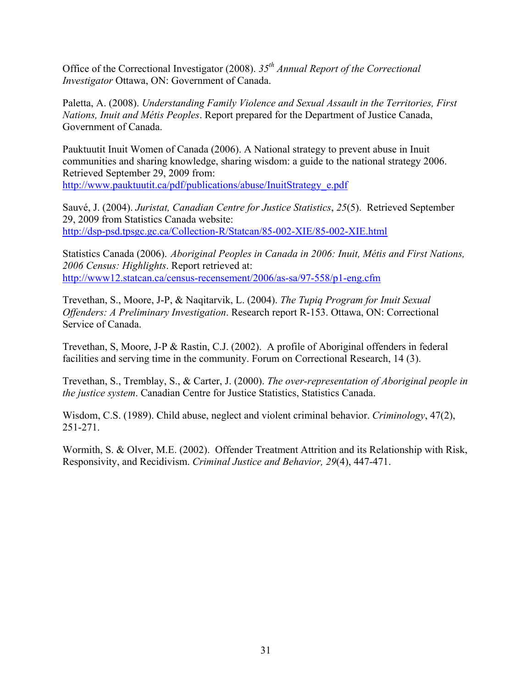Office of the Correctional Investigator (2008). *35th Annual Report of the Correctional Investigator* Ottawa, ON: Government of Canada.

Paletta, A. (2008). *Understanding Family Violence and Sexual Assault in the Territories, First Nations, Inuit and Métis Peoples*. Report prepared for the Department of Justice Canada, Government of Canada.

Pauktuutit Inuit Women of Canada (2006). A National strategy to prevent abuse in Inuit communities and sharing knowledge, sharing wisdom: a guide to the national strategy 2006. Retrieved September 29, 2009 from:

[http://www.pauktuutit.ca/pdf/publications/abuse/InuitStrategy\\_e.pdf](http://www.pauktuutit.ca/pdf/publications/abuse/InuitStrategy_e.pdf)

Sauvé, J. (2004). *Juristat, Canadian Centre for Justice Statistics*, *25*(5). Retrieved September 29, 2009 from Statistics Canada website: <http://dsp-psd.tpsgc.gc.ca/Collection-R/Statcan/85-002-XIE/85-002-XIE.html>

Statistics Canada (2006). *Aboriginal Peoples in Canada in 2006: Inuit, Métis and First Nations, 2006 Census: Highlights*. Report retrieved at: <http://www12.statcan.ca/census-recensement/2006/as-sa/97-558/p1-eng.cfm>

Trevethan, S., Moore, J-P, & Naqitarvik, L. (2004). *The Tupiq Program for Inuit Sexual Offenders: A Preliminary Investigation*. Research report R-153. Ottawa, ON: Correctional Service of Canada.

Trevethan, S, Moore, J-P & Rastin, C.J. (2002). A profile of Aboriginal offenders in federal facilities and serving time in the community. Forum on Correctional Research, 14 (3).

Trevethan, S., Tremblay, S., & Carter, J. (2000). *The over-representation of Aboriginal people in the justice system*. Canadian Centre for Justice Statistics, Statistics Canada.

Wisdom, C.S. (1989). Child abuse, neglect and violent criminal behavior. *Criminology*, 47(2), 251-271.

Wormith, S. & Olver, M.E. (2002). Offender Treatment Attrition and its Relationship with Risk, Responsivity, and Recidivism. *Criminal Justice and Behavior, 29*(4), 447-471.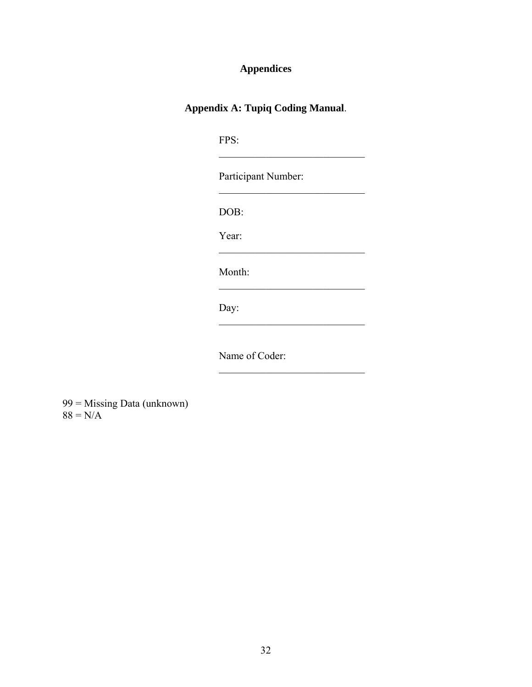# **Appendices**

# <span id="page-47-1"></span><span id="page-47-0"></span>**Appendix A: Tupiq Coding Manual**.

| FPS:           |                     |  |
|----------------|---------------------|--|
|                | Participant Number: |  |
| DOB:           |                     |  |
| Year:          |                     |  |
| Month:         |                     |  |
| Day:           |                     |  |
|                |                     |  |
| Name of Coder: |                     |  |

\_\_\_\_\_\_\_\_\_\_\_\_\_\_\_\_\_\_\_\_\_\_\_\_\_\_\_\_

99 = Missing Data (unknown)  $88 = N/A$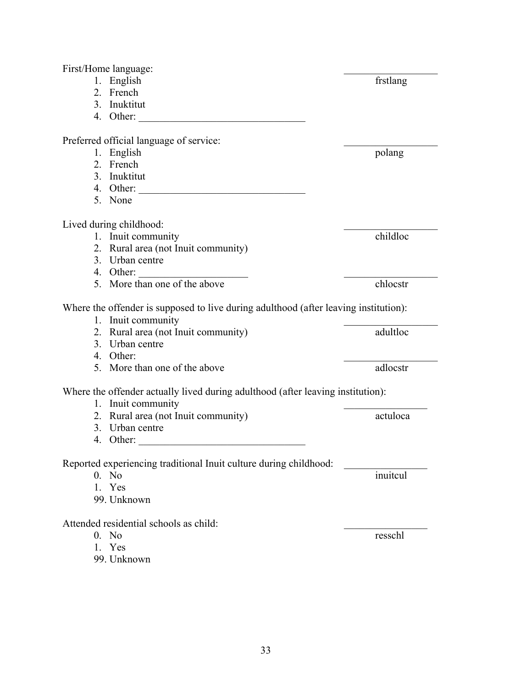First/Home language: 1. English frstlang 2. French 3. Inuktitut 4. Other: Preferred official language of service: 1. English polang 2. French 3. Inuktitut 4. Other: \_\_\_\_\_\_\_\_\_\_\_\_\_\_\_\_\_\_\_\_\_\_\_\_\_\_\_\_\_\_\_\_ 5. None Lived during childhood:<br>
1 Inuit community<br>
1 Childloc 1. Inuit community 2. Rural area (not Inuit community) 3. Urban centre 4. Other: 5. More than one of the above chlocstr Where the offender is supposed to live during adulthood (after leaving institution): 1. Inuit community 2. Rural area (not Inuit community) adultloc 3. Urban centre 4. Other: 5. More than one of the above adlocstr Where the offender actually lived during adulthood (after leaving institution): 1. Inuit community 2. Rural area (not Inuit community) actuloca 3. Urban centre 4. Other: Reported experiencing traditional Inuit culture during childhood: 0. No inuitcul 1. Yes 99. Unknown Attended residential schools as child: 0. No resschl 1. Yes 99. Unknown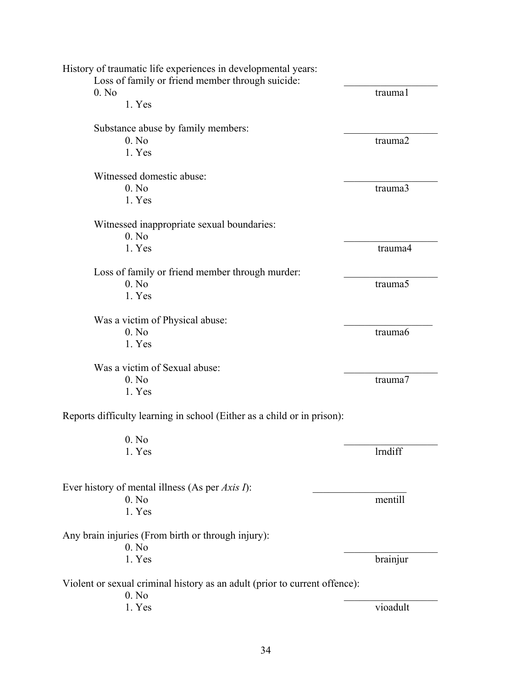| History of traumatic life experiences in developmental years:                       |                     |
|-------------------------------------------------------------------------------------|---------------------|
| Loss of family or friend member through suicide:                                    |                     |
| 0. No                                                                               | trauma1             |
| 1. Yes                                                                              |                     |
| Substance abuse by family members:                                                  |                     |
| 0. No                                                                               | trauma <sub>2</sub> |
| 1. Yes                                                                              |                     |
| Witnessed domestic abuse:                                                           |                     |
| 0. No                                                                               | trauma3             |
| 1. Yes                                                                              |                     |
| Witnessed inappropriate sexual boundaries:                                          |                     |
| 0. No                                                                               |                     |
| 1. Yes                                                                              | trauma4             |
| Loss of family or friend member through murder:                                     |                     |
| $0.$ No                                                                             | trauma5             |
| 1. Yes                                                                              |                     |
| Was a victim of Physical abuse:                                                     |                     |
| 0. No                                                                               | trauma <sub>6</sub> |
| 1. Yes                                                                              |                     |
|                                                                                     |                     |
| Was a victim of Sexual abuse:                                                       |                     |
| 0. No                                                                               | trauma7             |
| 1. Yes                                                                              |                     |
| Reports difficulty learning in school (Either as a child or in prison):             |                     |
| 0. No                                                                               |                     |
| 1. Yes                                                                              | lrndiff             |
|                                                                                     |                     |
| Ever history of mental illness (As per Axis I):                                     |                     |
| 0. No                                                                               | mentill             |
| 1. Yes                                                                              |                     |
| Any brain injuries (From birth or through injury):                                  |                     |
| 0. No                                                                               |                     |
| 1. Yes                                                                              | brainjur            |
| Violent or sexual criminal history as an adult (prior to current offence):<br>0. No |                     |
| 1. Yes                                                                              | vioadult            |
|                                                                                     |                     |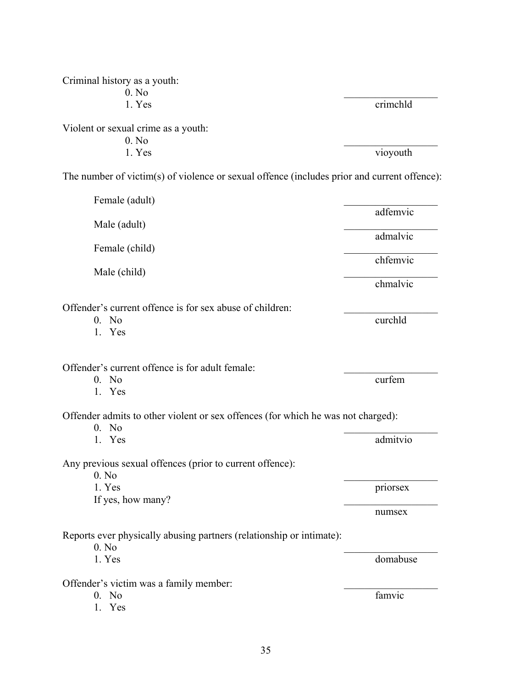| Criminal history as a youth:<br>0. No                                                       |          |
|---------------------------------------------------------------------------------------------|----------|
| 1. Yes                                                                                      | crimchld |
| Violent or sexual crime as a youth:<br>0. No                                                |          |
| 1. Yes                                                                                      | vioyouth |
| The number of victim(s) of violence or sexual offence (includes prior and current offence): |          |
| Female (adult)                                                                              | adfemvic |
| Male (adult)                                                                                |          |
| Female (child)                                                                              | admalvic |
| Male (child)                                                                                | chfemvic |
|                                                                                             | chmalvic |
| Offender's current offence is for sex abuse of children:<br>$0.$ No<br>1. Yes               | curchld  |
| Offender's current offence is for adult female:<br>$0.$ No<br>1. Yes                        | curfem   |
| Offender admits to other violent or sex offences (for which he was not charged):            |          |
| $0.$ No<br>1. Yes                                                                           | admitvio |
| Any previous sexual offences (prior to current offence):                                    |          |
| 0. No<br>1. Yes                                                                             | priorsex |
| If yes, how many?                                                                           | numsex   |
| Reports ever physically abusing partners (relationship or intimate):<br>0. No               |          |
| 1. Yes                                                                                      | domabuse |
| Offender's victim was a family member:<br>0. No<br>1. Yes                                   | famvic   |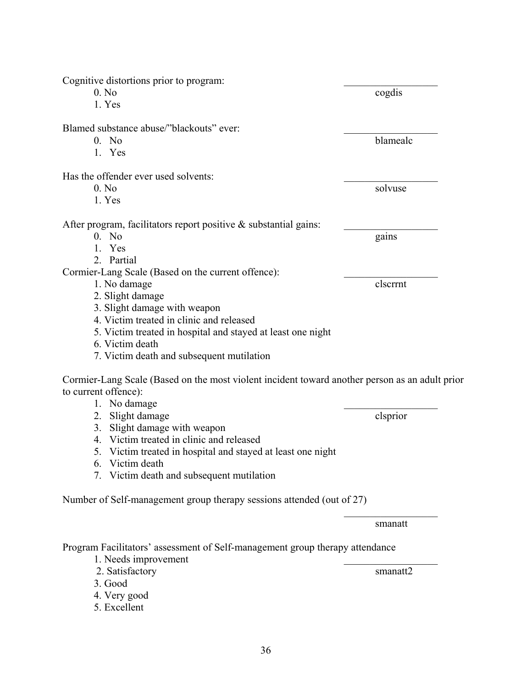| 0. No<br>cogdis<br>1. Yes<br>Blamed substance abuse/"blackouts" ever:<br>blamealc<br>0. No<br>1. Yes<br>Has the offender ever used solvents:<br>0. No<br>solvuse<br>1. Yes<br>$0.$ No<br>gains<br>1. Yes<br>2. Partial<br>1. No damage<br>clscrrnt<br>2. Slight damage<br>3. Slight damage with weapon<br>4. Victim treated in clinic and released<br>5. Victim treated in hospital and stayed at least one night<br>6. Victim death<br>7. Victim death and subsequent mutilation<br>Cormier-Lang Scale (Based on the most violent incident toward another person as an adult prior<br>1. No damage<br>clsprior<br>2. Slight damage<br>3. Slight damage with weapon<br>4. Victim treated in clinic and released<br>5. Victim treated in hospital and stayed at least one night<br>6. Victim death<br>7. Victim death and subsequent mutilation<br>Number of Self-management group therapy sessions attended (out of 27)<br>smanatt<br>Program Facilitators' assessment of Self-management group therapy attendance<br>1. Needs improvement<br>2. Satisfactory<br>smanatt2<br>3. Good<br>4. Very good<br>5. Excellent | Cognitive distortions prior to program:                             |  |
|----------------------------------------------------------------------------------------------------------------------------------------------------------------------------------------------------------------------------------------------------------------------------------------------------------------------------------------------------------------------------------------------------------------------------------------------------------------------------------------------------------------------------------------------------------------------------------------------------------------------------------------------------------------------------------------------------------------------------------------------------------------------------------------------------------------------------------------------------------------------------------------------------------------------------------------------------------------------------------------------------------------------------------------------------------------------------------------------------------------------|---------------------------------------------------------------------|--|
|                                                                                                                                                                                                                                                                                                                                                                                                                                                                                                                                                                                                                                                                                                                                                                                                                                                                                                                                                                                                                                                                                                                      |                                                                     |  |
|                                                                                                                                                                                                                                                                                                                                                                                                                                                                                                                                                                                                                                                                                                                                                                                                                                                                                                                                                                                                                                                                                                                      |                                                                     |  |
|                                                                                                                                                                                                                                                                                                                                                                                                                                                                                                                                                                                                                                                                                                                                                                                                                                                                                                                                                                                                                                                                                                                      |                                                                     |  |
|                                                                                                                                                                                                                                                                                                                                                                                                                                                                                                                                                                                                                                                                                                                                                                                                                                                                                                                                                                                                                                                                                                                      |                                                                     |  |
|                                                                                                                                                                                                                                                                                                                                                                                                                                                                                                                                                                                                                                                                                                                                                                                                                                                                                                                                                                                                                                                                                                                      |                                                                     |  |
|                                                                                                                                                                                                                                                                                                                                                                                                                                                                                                                                                                                                                                                                                                                                                                                                                                                                                                                                                                                                                                                                                                                      |                                                                     |  |
|                                                                                                                                                                                                                                                                                                                                                                                                                                                                                                                                                                                                                                                                                                                                                                                                                                                                                                                                                                                                                                                                                                                      |                                                                     |  |
|                                                                                                                                                                                                                                                                                                                                                                                                                                                                                                                                                                                                                                                                                                                                                                                                                                                                                                                                                                                                                                                                                                                      |                                                                     |  |
|                                                                                                                                                                                                                                                                                                                                                                                                                                                                                                                                                                                                                                                                                                                                                                                                                                                                                                                                                                                                                                                                                                                      | After program, facilitators report positive $\&$ substantial gains: |  |
|                                                                                                                                                                                                                                                                                                                                                                                                                                                                                                                                                                                                                                                                                                                                                                                                                                                                                                                                                                                                                                                                                                                      |                                                                     |  |
|                                                                                                                                                                                                                                                                                                                                                                                                                                                                                                                                                                                                                                                                                                                                                                                                                                                                                                                                                                                                                                                                                                                      |                                                                     |  |
|                                                                                                                                                                                                                                                                                                                                                                                                                                                                                                                                                                                                                                                                                                                                                                                                                                                                                                                                                                                                                                                                                                                      |                                                                     |  |
|                                                                                                                                                                                                                                                                                                                                                                                                                                                                                                                                                                                                                                                                                                                                                                                                                                                                                                                                                                                                                                                                                                                      | Cormier-Lang Scale (Based on the current offence):                  |  |
|                                                                                                                                                                                                                                                                                                                                                                                                                                                                                                                                                                                                                                                                                                                                                                                                                                                                                                                                                                                                                                                                                                                      |                                                                     |  |
|                                                                                                                                                                                                                                                                                                                                                                                                                                                                                                                                                                                                                                                                                                                                                                                                                                                                                                                                                                                                                                                                                                                      |                                                                     |  |
|                                                                                                                                                                                                                                                                                                                                                                                                                                                                                                                                                                                                                                                                                                                                                                                                                                                                                                                                                                                                                                                                                                                      |                                                                     |  |
|                                                                                                                                                                                                                                                                                                                                                                                                                                                                                                                                                                                                                                                                                                                                                                                                                                                                                                                                                                                                                                                                                                                      |                                                                     |  |
|                                                                                                                                                                                                                                                                                                                                                                                                                                                                                                                                                                                                                                                                                                                                                                                                                                                                                                                                                                                                                                                                                                                      |                                                                     |  |
|                                                                                                                                                                                                                                                                                                                                                                                                                                                                                                                                                                                                                                                                                                                                                                                                                                                                                                                                                                                                                                                                                                                      |                                                                     |  |
|                                                                                                                                                                                                                                                                                                                                                                                                                                                                                                                                                                                                                                                                                                                                                                                                                                                                                                                                                                                                                                                                                                                      |                                                                     |  |
|                                                                                                                                                                                                                                                                                                                                                                                                                                                                                                                                                                                                                                                                                                                                                                                                                                                                                                                                                                                                                                                                                                                      |                                                                     |  |
|                                                                                                                                                                                                                                                                                                                                                                                                                                                                                                                                                                                                                                                                                                                                                                                                                                                                                                                                                                                                                                                                                                                      | to current offence):                                                |  |
|                                                                                                                                                                                                                                                                                                                                                                                                                                                                                                                                                                                                                                                                                                                                                                                                                                                                                                                                                                                                                                                                                                                      |                                                                     |  |
|                                                                                                                                                                                                                                                                                                                                                                                                                                                                                                                                                                                                                                                                                                                                                                                                                                                                                                                                                                                                                                                                                                                      |                                                                     |  |
|                                                                                                                                                                                                                                                                                                                                                                                                                                                                                                                                                                                                                                                                                                                                                                                                                                                                                                                                                                                                                                                                                                                      |                                                                     |  |
|                                                                                                                                                                                                                                                                                                                                                                                                                                                                                                                                                                                                                                                                                                                                                                                                                                                                                                                                                                                                                                                                                                                      |                                                                     |  |
|                                                                                                                                                                                                                                                                                                                                                                                                                                                                                                                                                                                                                                                                                                                                                                                                                                                                                                                                                                                                                                                                                                                      |                                                                     |  |
|                                                                                                                                                                                                                                                                                                                                                                                                                                                                                                                                                                                                                                                                                                                                                                                                                                                                                                                                                                                                                                                                                                                      |                                                                     |  |
|                                                                                                                                                                                                                                                                                                                                                                                                                                                                                                                                                                                                                                                                                                                                                                                                                                                                                                                                                                                                                                                                                                                      |                                                                     |  |
|                                                                                                                                                                                                                                                                                                                                                                                                                                                                                                                                                                                                                                                                                                                                                                                                                                                                                                                                                                                                                                                                                                                      |                                                                     |  |
|                                                                                                                                                                                                                                                                                                                                                                                                                                                                                                                                                                                                                                                                                                                                                                                                                                                                                                                                                                                                                                                                                                                      |                                                                     |  |
|                                                                                                                                                                                                                                                                                                                                                                                                                                                                                                                                                                                                                                                                                                                                                                                                                                                                                                                                                                                                                                                                                                                      |                                                                     |  |
|                                                                                                                                                                                                                                                                                                                                                                                                                                                                                                                                                                                                                                                                                                                                                                                                                                                                                                                                                                                                                                                                                                                      |                                                                     |  |
|                                                                                                                                                                                                                                                                                                                                                                                                                                                                                                                                                                                                                                                                                                                                                                                                                                                                                                                                                                                                                                                                                                                      |                                                                     |  |
|                                                                                                                                                                                                                                                                                                                                                                                                                                                                                                                                                                                                                                                                                                                                                                                                                                                                                                                                                                                                                                                                                                                      |                                                                     |  |
|                                                                                                                                                                                                                                                                                                                                                                                                                                                                                                                                                                                                                                                                                                                                                                                                                                                                                                                                                                                                                                                                                                                      |                                                                     |  |
|                                                                                                                                                                                                                                                                                                                                                                                                                                                                                                                                                                                                                                                                                                                                                                                                                                                                                                                                                                                                                                                                                                                      |                                                                     |  |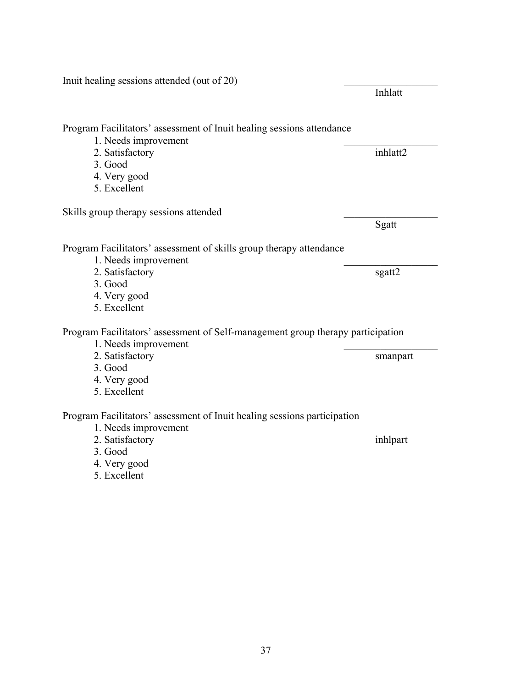Inuit healing sessions attended (out of 20) Inhlatt Program Facilitators' assessment of Inuit healing sessions attendance 1. Needs improvement 2. Satisfactory inhlatt2 3. Good 4. Very good 5. Excellent Skills group therapy sessions attended Sgatt and the state of the state of the state of the state of the state of the state of the state of the state of the state of the state of the state of the state of the state of the state of the state of the state of the Program Facilitators' assessment of skills group therapy attendance 1. Needs improvement 2. Satisfactory sgatt2 3. Good 4. Very good 5. Excellent Program Facilitators' assessment of Self-management group therapy participation 1. Needs improvement 2. Satisfactory smanpart 3. Good 4. Very good 5. Excellent Program Facilitators' assessment of Inuit healing sessions participation 1. Needs improvement 2. Satisfactory inhlpart 3. Good 4. Very good 5. Excellent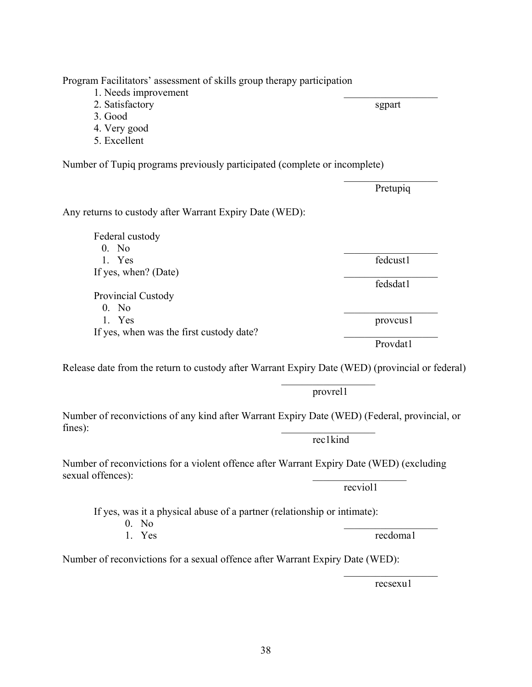$\mathcal{L}_\mathcal{L} = \mathcal{L}_\mathcal{L} = \mathcal{L}_\mathcal{L} = \mathcal{L}_\mathcal{L} = \mathcal{L}_\mathcal{L} = \mathcal{L}_\mathcal{L} = \mathcal{L}_\mathcal{L} = \mathcal{L}_\mathcal{L} = \mathcal{L}_\mathcal{L} = \mathcal{L}_\mathcal{L} = \mathcal{L}_\mathcal{L} = \mathcal{L}_\mathcal{L} = \mathcal{L}_\mathcal{L} = \mathcal{L}_\mathcal{L} = \mathcal{L}_\mathcal{L} = \mathcal{L}_\mathcal{L} = \mathcal{L}_\mathcal{L}$ 

Program Facilitators' assessment of skills group therapy participation

- 1. Needs improvement
- 2. Satisfactory sgpart
- 3. Good
- 4. Very good
- 5. Excellent

Number of Tupiq programs previously participated (complete or incomplete)

 $\mathcal{L}_\text{max}$  and  $\mathcal{L}_\text{max}$  and  $\mathcal{L}_\text{max}$  and  $\mathcal{L}_\text{max}$  and  $\mathcal{L}_\text{max}$ 

Any returns to custody after Warrant Expiry Date (WED):

 Federal custody  $0.$  No  $\qquad \qquad$ 1. Yes fedcust 1 If yes, when? (Date) fedsdat1 Provincial Custody  $0.$  No  $\qquad \qquad$ 1. Yes provcus1 If yes, when was the first custody date?

Release date from the return to custody after Warrant Expiry Date (WED) (provincial or federal)

provrel1

rec1kind

Number of reconvictions of any kind after Warrant Expiry Date (WED) (Federal, provincial, or  $fines)$ :

Number of reconvictions for a violent offence after Warrant Expiry Date (WED) (excluding sexual offences):

If yes, was it a physical abuse of a partner (relationship or intimate):

 $\mathcal{L}_\text{max}$  and  $\mathcal{L}_\text{max}$  and  $\mathcal{L}_\text{max}$  and  $\mathcal{L}_\text{max}$  and  $\mathcal{L}_\text{max}$ 

- $0.$  No
- 

Number of reconvictions for a sexual offence after Warrant Expiry Date (WED):

recsexu1

Provdat1

Pretupiq

1. Yes recdoma1

recviol1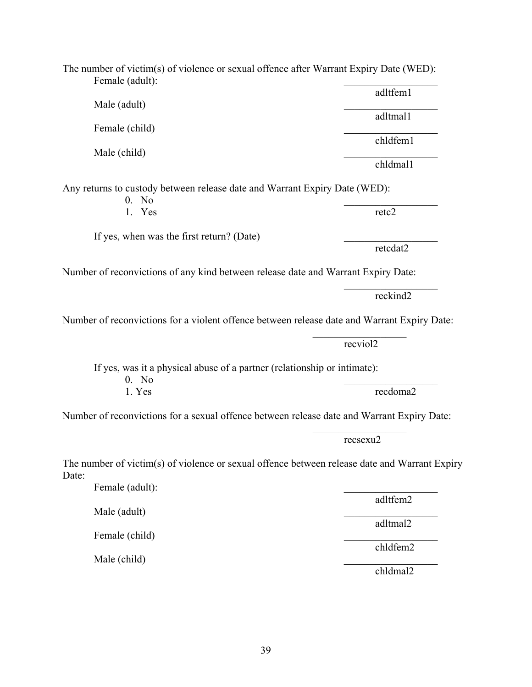Female (child) chldfem1 Male (child) chldmal1 Any returns to custody between release date and Warrant Expiry Date (WED):  $0.$  No  $\qquad \qquad$ 1. Yes retc2 If yes, when was the first return? (Date) retcdat2 Number of reconvictions of any kind between release date and Warrant Expiry Date:  $\mathcal{L}_\text{max}$  and  $\mathcal{L}_\text{max}$  and  $\mathcal{L}_\text{max}$  and  $\mathcal{L}_\text{max}$  and  $\mathcal{L}_\text{max}$  reckind2 Number of reconvictions for a violent offence between release date and Warrant Expiry Date:  $\mathcal{L}_\text{max}$  and  $\mathcal{L}_\text{max}$  are the set of  $\mathcal{L}_\text{max}$  and  $\mathcal{L}_\text{max}$  and  $\mathcal{L}_\text{max}$  recviol2 If yes, was it a physical abuse of a partner (relationship or intimate):  $0.$  No  $\qquad \qquad$ 1. Yes recdoma2 Number of reconvictions for a sexual offence between release date and Warrant Expiry Date:  $\mathcal{L}_\mathcal{L} = \mathcal{L}_\mathcal{L} = \mathcal{L}_\mathcal{L} = \mathcal{L}_\mathcal{L} = \mathcal{L}_\mathcal{L} = \mathcal{L}_\mathcal{L} = \mathcal{L}_\mathcal{L} = \mathcal{L}_\mathcal{L} = \mathcal{L}_\mathcal{L} = \mathcal{L}_\mathcal{L} = \mathcal{L}_\mathcal{L} = \mathcal{L}_\mathcal{L} = \mathcal{L}_\mathcal{L} = \mathcal{L}_\mathcal{L} = \mathcal{L}_\mathcal{L} = \mathcal{L}_\mathcal{L} = \mathcal{L}_\mathcal{L}$  recsexu2 The number of victim(s) of violence or sexual offence between release date and Warrant Expiry Female (adult):

The number of victim(s) of violence or sexual offence after Warrant Expiry Date (WED): Female (adult):

Male (adult) \_\_\_\_\_\_\_\_\_\_\_\_\_\_\_\_\_\_ adltmal1

adltfem1

adltfem2 adltmal2

Male (child)

Male (adult)

Female (child)

Date:

chldfem2

chldmal2